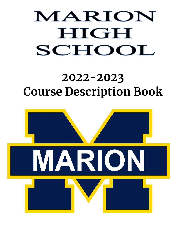# MARION HIGH SCHOOL

# **2022-2023 Course Description Book**

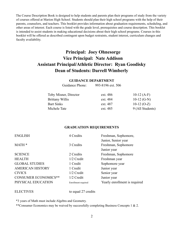The Course Description Book is designed to help students and parents plan their programs of study from the variety of courses offered at Marion High School. Students should plan their high school programs with the help of their parents, counselors, and teachers. This booklet provides information about graduation requirements, scheduling, and other areas of interest. Each course is listed with the grade level, prerequisites and course description. This booklet is intended to assist students in making educational decisions about their high school programs. Courses in this booklet will be offered as described contingent upon budget restraints, student interest, curriculum changes and faculty availability.

# **Principal: Joey Ohnesorge Vice Principal: Nate Addison Assistant Principal/Athletic Director: Ryan Goodisky Dean of Students: Darrell Wimberly**

#### **GUIDANCE DEPARTMENT**

Guidance Phone: 993-8196 ext. 506

| Toby Misner, Director  | ext. 486 | $10-12(A-F)$     |
|------------------------|----------|------------------|
| <b>Brittany Willis</b> | ext. 484 | 10-12 $(G-N)$    |
| <b>Bart Sinks</b>      | ext. 487 | $10-12$ (O-Z)    |
| Michele Tate           | ext. 485 | 9 (All Students) |

#### **GRADUATION REQUIREMENTS**

| <b>ENGLISH</b>              | 4 Credits           | Freshman, Sophomore,          |
|-----------------------------|---------------------|-------------------------------|
|                             |                     | Junior, Senior year           |
| MATH <sup>*</sup>           | 3 Credits           | Freshman, Sophomore           |
|                             |                     | Junior year                   |
| <b>SCIENCE</b>              | 2 Credits           | Freshman, Sophomore           |
| <b>HEALTH</b>               | 1/2 Credit          | Freshman year                 |
| <b>GLOBAL STUDIES</b>       | 1 Credit            | Sophomore year                |
| <b>AMERICAN HISTORY</b>     | 1 Credit            | Junior year                   |
| <b>CIVICS</b>               | 1/2 Credit          | Senior year                   |
| <b>CONSUMER ECONOMICS**</b> | $1/2$ Credit        | Junior year                   |
| PHYSICAL EDUCATION          | Enrollment required | Yearly enrollment is required |

ELECTIVES to equal 27 credits

\*3 years of Math must include Algebra and Geometry.

\*\*Consumer Economics may be waived by successfully completing Business Concepts 1 & 2.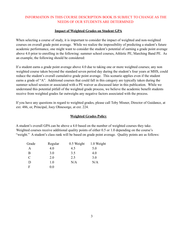# INFORMATION IN THIS COURSE DESCRIPTION BOOK IS SUBJECT TO CHANGE AS THE NEEDS OF OUR STUDENTS ARE DETERMINED

# **Impact of Weighted Grades on Student GPA**

When selecting a course of study, it is important to consider the impact of weighted and non-weighted courses on overall grade point average. While we realize the impossibility of predicting a student's future academic performance, one might want to consider the student's potential of earning a grade point average above 4.0 prior to enrolling in the following: summer school courses, Athletic PE, Marching Band PE. As an example, the following should be considered:

If a student earns a grade point average above 4.0 due to taking one or more weighted courses; any non weighted course taken beyond the standard seven period day during the student's four years at MHS, could reduce the student's overall cumulative grade point average. This scenario applies even if the student earns a grade of "A". Additional courses that could fall in this category are typically taken during the summer school session or associated with a PE waiver as discussed later in this publication. While we understand this potential pitfall of the weighted grade process, we believe the academic benefit students receive from weighted grades far outweighs any negative factors associated with the process.

If you have any questions in regard to weighted grades, please call Toby Misner, Director of Guidance, at ext. 486, or, Principal, Joey Ohnesorge, at ext. 224.

# **Weighted Grades Policy**

A student's overall GPA can be above a 4.0 based on the number of weighted courses they take. Weighted courses receive additional quality points of either 0.5 or 1.0 depending on the course's "weight." A student's class rank will be based on grade point average. Quality points are as follows:

| Grade         | Regular | 0.5 Weight | 1.0 Weight |
|---------------|---------|------------|------------|
| A             | 4.0     | 4.5        | 5.0        |
| B             | 3.0     | 3.5        | 4.0        |
| $\mathcal{C}$ | 2.0     | 2.5        | 3.0        |
| D             | 1.0     | N/A        | N/A        |
| F             | 0.0     |            |            |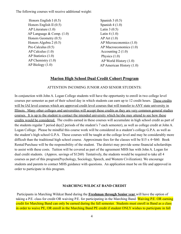The following courses will receive additional weight:

Honors English I (0.5) Honors English II (0.5) AP Literature (1.0) AP Language & Comp. (1.0) Honors Geometry (0.5) Honors Algebra 2 (0.5) Pre-Calculus (0.5) AP Calculus (1.0) AP Statistics (1.0) AP Chemistry (1.0) AP Biology (1.0)

Spanish 3 (0.5) Spanish 4 (1.0) Latin 3 (0.5) Latin 4 (1.0) AP Art (1.0) AP Microeconomics (1.0) AP Macroeconomics (1.0) Accounting 2 (1.0) Physics (1.0) AP World History (1.0) AP American History (1.0)

# **Marion High School Dual Credit Cohort Program**

ATTENTION INCOMING JUNIOR AND SENIOR STUDENTS:

In conjunction with John A. Logan College students will have the opportunity to enroll in two college level courses per semester as part of their school day in which students can earn up to 12 credit hours. These credits will be IAI level courses which are approved credit level courses that will transfer to ANY state university in Illinois. Many other colleges and universities will accept these credits as they are very common general studies courses. It is up to the student to contact the intended university which he/she may attend to see how these credits would be considered. The credits earned in these courses will accumulate in high school credit as part of the students regular 7 period day(2 periods of the student's 7 each semester), as well as college credit at John A. Logan College. Please be mindful this course work will be considered in a student's college G.P.A. as well as the student's high school G.P.A. These courses will be taught at the college level and may be considerably more difficult than the traditional high school course. Approximate fees for the classes will be \$15 x 4=\$60. Book Rental/Purchase will be the responsibility of the student. The district may provide some financial scholarships to assist with these costs. Tuition will be covered as part of the agreement MHS has with John A. Logan for dual credit students. (Approx. savings of \$1260) Tentatively, the students would be required to take all 4 courses as part of this program(Psychology, Sociology, Speech, and Western Civilization). We encourage students and parents to contact MHS guidance with questions. An application must be on file and approved in order to participate in this program.

# **MARCHING WILDCAT BAND CREDIT**

Participants in Marching Wildcat Band during the **Freshman through Senior year** will have the option of taking a P.E. class for credit OR waiving P.E. for participating in the Marching Band. Waiving P.E. OR earning credit for Marching Band can only be earned during the fall semester. Students must enroll in Band as a class in order to waive PE, OR enroll in the Marching Band PE credit if student ONLY wishes to participate in fall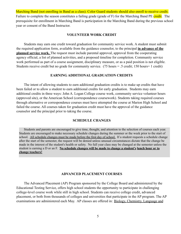Marching Band (not enrolling in Band as a class). Color Guard students should also enroll to receive credit. Failure to complete the season constitutes a failing grade (grade of F) for the Marching Band PE credit. The prerequisite for enrollment in Marching Band is participation in the Marching Band during the previous school year or consent of the Band Instructor.

#### **VOLUNTEER WORK CREDIT**

Students may earn one credit toward graduation for community service work. A student must submit the required application form, available from the guidance counselor, to the principal **in advance of the planned service work.** The request must include parental approval, approval from the cooperating agency official, a list of planned activities, and a proposed timeline for completion. Community service work performed as part of a course assignment, disciplinary measure, or as a paid position is not eligible. Students receive credit but no grade for community service. (75 hours = .5 credit; 150 hours= 1 credit)

#### **EARNING ADDITIONAL GRADUATION CREDITS**

The intent of allowing students to earn additional graduation credits is to make up credits that have been failed or to allow a student to earn additional credits for early graduation. Students may earn additional credits in three ways: John A. Logan College course work, community service volunteer hours (approved site), or the American School (correspondence coursework). Students taking required courses through alternative or correspondence courses must have attempted the course at Marion High School and failed the course. All courses taken for graduation credit must have the approval of the guidance counselor and the principal prior to taking the course.

#### **SCHEDULE CHANGES**

Students and parents are encouraged to give time, thought, and attention to the selection of courses each year. Students are encouraged to make necessary schedule changes during the summer or the week prior to the start of school. All schedule changes must be made before the first day of school. If a student requests a schedule change after the start of the semester, the request will be denied unless unusual circumstances dictate that the change be made in the interest of the student's health or safety. No full year class may be changed at the semester unless the student is earning a D or an F. **No schedule changes will be made to change a student's lunch hour or to change teachers!**

#### **ADVANCED PLACEMENT COURSES**

The Advanced Placement (AP) Program sponsored by the College Board and administered by the Educational Testing Service, offers high school students the opportunity to participate in challenging college-level course work while still in high school. Students can receive college credit, advanced placement, or both from thousands of colleges and universities that participate in the AP program. The AP examinations are administered each May. AP classes are offered in: Biology, Chemistry, Language and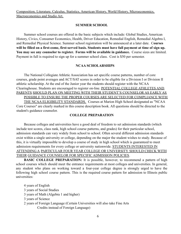# **SUMMER SCHOOL**

Summer school courses are offered in the basic subjects which include: Global Studies, American History, Civics, Consumer Economics, Health, Driver Education, Remedial English, Remedial Algebra I, and Remedial Physical Science. Summer school registration will be announced at a later date. C**ourses will be filled on a first-come, first-served basis. Students must have full payment at time of sign up. You may see any counselor to register. Forms will be available in guidance.** Course sizes are limited. Payment in full is required to sign up for a summer school class. Cost is \$50 per semester.

#### **NCAA SCHOLARSHIPS**

The National Collegiate Athletic Association has set specific course patterns, number of core courses, grade point averages and ACT/SAT scores in order to be eligible for a Division I or Division II athletic scholarship. At the end of the Junior year the students should register with the NCAA Clearinghouse. Students are encouraged to register on-line. POTENTIAL COLLEGE ATHLETES AND PARENTS SHOULD PLAN ON MEETING WITH THEIR STUDENT'S COUNSELOR AS EARLY AS

POSSIBLE TO ENSURE THE PROPER COURSES ARE SELECTED FOR COMPLIANCE WITH THE NCAA ELIGIBILITY STANDARDS. Courses at Marion High School designated as "NCAA Core Courses" are clearly marked in this course description book. All questions should be directed to the student's guidance counselor.

#### **COLLEGE PREPARATION**

Because colleges and universities have a good deal of freedom to set admission standards (which include test scores, class rank, high school course patterns, and grades) for their particular school, admission standards can vary widely from school to school. Often several different admission standards exist within a single university or college, depending on the major the student wishes to study. Because of this, it is virtually impossible to develop a course of study in high school which is guaranteed to meet admission requirements for every college or university nationwide. STUDENTS INTERESTED IN ATTENDING A PARTICULAR FOUR YEAR COLLEGE OR UNIVERSITY SHOULD CHECK WITH THEIR GUIDANCE COUNSELOR FOR SPECIFIC ADMISSION POLICIES.

**BASIC COLLEGE PREPARATION:** It is possible, however, to recommend a pattern of high school courses which should meet the entrance requirements at most colleges and universities. In general, any student who plans on working toward a four-year college degree is strongly urged to have the following high school course pattern. This is the required course pattern for admission to Illinois public universities:

4 years of English 3 years of Social Studies 3 years of Math (Algebra 1 and higher) 3 years of Science 2 years of Foreign Language (Certain Universities will also take Fine Arts Credits instead of Foreign Language)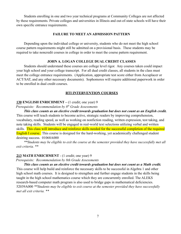Students enrolling in one and two year technical programs at Community Colleges are not affected by these requirements. Private colleges and universities in Illinois and out-of-state schools will have their own specific entrance requirements.

#### **FAILURE TO MEET AN ADMISSION PATTERN**

Depending upon the individual college or university, students who do not meet the high school course pattern requirements might still be admitted on a provisional basis. These students may be required to take noncredit courses in college in order to meet the course pattern requirement.

#### **JOHN A. LOGAN COLLEGE DUAL CREDIT CLASSES**

Students should understand these courses are college level rigor. Any courses taken could impact your high school and your college transcript. For all dual credit classes, all students in the class must meet the college entrance requirements. (Application, appropriate test score either from Accuplacer or ACT/SAT, and any other necessary documents). Sophomores will require additional paperwork in order to be enrolled in dual credit courses.

#### **RTI INTERVENTION COURSES**

#### **130 ENGLISH ENRICHMENT –** (1 credit; one year) 9

*Prerequisite: Recommendation by 8th Grade Assessments*

*This class counts as an elective credit towards graduation but does not count as an English credit.* This course will teach students to become active, strategic readers by improving comprehension, vocabulary, reading speed, as well as working on nonfiction reading, written expression, test taking, and note taking skills. Students will be engaged in real-world text selections utilizing verbal and written skills. This class will introduce and reinforce skills needed for the successful completion of the required English I course. This course is designed for the hard-working, yet academically challenged student desiring success. 01068A000

*\*\*Students may be eligible to exit the course at the semester provided they have successfully met all exit criteria. \*\**

#### **213 MATH ENRICHMENT** - (1 credit; one year) 9

*Prerequisite: Recommendation by 8th Grade Assessments*

*This class counts as an elective credit towards graduation but does not count as a Math credit.* This course will help build and reinforce the necessary skills to be successful in Algebra 1 and other high school math courses. It is designed to strengthen and further engage students in the skills being taught in the high school mathematics course which they are concurrently enrolled. The ALEKS research-based computer math program is also used to bridge gaps in mathematical deficiencies. 52039A000 *\*\*Students may be eligible to exit course at the semester provided they have successfully met all exit criteria. \*\**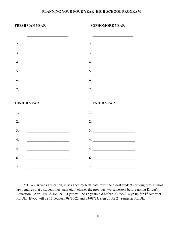#### **PLANNING YOUR FOUR YEAR HIGH SCHOOL PROGRAM**

# **FRESHMAN YEAR SOPHOMORE YEAR** 1. \_\_\_\_\_\_\_\_\_\_\_\_\_\_\_\_\_\_\_\_\_\_\_ 1. \_\_\_\_\_\_\_\_\_\_\_\_\_\_\_\_\_\_\_\_\_\_\_ 2.  $\frac{2}{2}$ 3. \_\_\_\_\_\_\_\_\_\_\_\_\_\_\_\_\_\_\_\_\_\_\_\_ 3. \_\_\_\_\_\_\_\_\_\_\_\_\_\_\_\_\_\_\_\_\_\_\_\_ 4. \_\_\_\_\_\_\_\_\_\_\_\_\_\_\_\_\_\_\_\_\_\_\_\_ 4. \_\_\_\_\_\_\_\_\_\_\_\_\_\_\_\_\_\_\_\_\_\_\_\_  $5.$   $5.$  $6.$ 7. \_\_\_\_\_\_\_\_\_\_\_\_\_\_\_\_\_\_\_\_\_\_\_\_\_ 7. \_\_\_\_\_\_\_\_\_\_\_\_\_\_\_\_\_\_\_\_\_\_\_\_\_ **JUNIOR YEAR SENIOR YEAR**  $1.$ 2.  $\frac{2}{2}$ 3. \_\_\_\_\_\_\_\_\_\_\_\_\_\_\_\_\_\_\_\_\_\_\_\_ 3. \_\_\_\_\_\_\_\_\_\_\_\_\_\_\_\_\_\_\_\_\_\_\_\_  $4.$   $4.$  $5.$   $5.$  $6.$   $6.$  $7.$

\*BTW (Driver's Education) is assigned by birth date, with the oldest students driving first. Illinois law requires that a student must pass eight classes the previous two semesters before taking Driver's Education. Attn: FRESHMEN – If you will be 15 years old before  $09/25/22$ , sign up for 1<sup>st</sup> semester PE/DE. If you will be 15 between 09/26/22 and 03/08/23, sign up for 2<sup>nd</sup> semester PE/DE.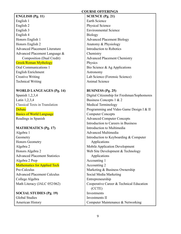#### **COURSE OFFERINGS**

# **ENGLISH (Pg. 11)**

English 1 English 2 English 3 English 4 Honors English 1 Honors English 2 Advanced Placement Literature Advanced Placement Language & Composition (Dual Credit) Greek/Roman Mythology Oral Communications 1 English Enrichment Creative Writing Technical Writing

# **WORLD LANGUAGES (Pg. 14)**

Spanish 1,2,3,4 Latin 1,2,3,4 Classical Texts in Translation **Debate** Basics of World Language Readings in Spanish

# **MATHEMATICS (Pg. 17)**

Algebra 1 Geometry Honors Geometry Algebra 2 Honors Algebra 2 Advanced Placement Statistics Algebra 2 Prep Mathematics for Applied Tech Pre-Calculus Advanced Placement Calculus College Algebra Math Literacy (JALC 052/062)

**SOCIAL STUDIES (Pg. 19)** Global Studies American History

#### **SCIENCE (Pg. 21)**

Earth Science Physical Science Environmental Science Biology Advanced Placement Biology Anatomy & Physiology Introduction to Robotics Chemistry Advanced Placement Chemistry Physics Bio Science & Ag Applications Astronomy Lab Science (Forensic Science) Animal Science

#### **BUSINESS (Pg. 25)** Digital Citizenship for Freshman/Sophomores

Business Concepts 1 & 2 Medical Terminology Programming and Video Game Design I & II Computer Concepts Advanced Computer Concepts Introduction to Careers in Business Introduction to Multimedia Advanced Multimedia Introduction to Keyboarding & Computer Applications Mobile Application Development Web Site Development & Technology Applications Accounting 1 Accounting 2 Marketing & Business Ownership Social Media Marketing Entrepreneurship Cooperative Career & Technical Education (CCTE) Investments Investments II Computer Maintenance & Networking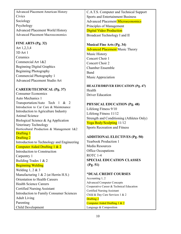Advanced Placement American History **Civics** Sociology Psychology Advanced Placement World History Advanced Placement Macroeconomics

# **FINE ARTS (Pg. 32)**

Art 1,2,3,4 3D Art 1 **Ceramics** Commercial Art 1&2 Beginning Digital Graphics Beginning Photography Commercial Photography 1 Advanced Placement Studio Art

# **CAREER/TECHNICAL (Pg. 37)**

Consumer Economics Auto Mechanics 1 Transportation/Auto Tech 1 & 2 Introduction to Car Care & Maintenance Introduction to Agriculture Industry Animal Science Biological Science & Ag Application Veterinary Technology Horticultural Production & Management 1&2 Drafting 1 Drafting 2 Introduction to Technology and Engineering Computer Aided Drafting 1 & 2 Introduction to Construction Carpentry 1 Building Trades 1 & 2 Beginning Welding Welding 1, 2 & 3 Manufacturing 1 & 2 (at Herrin H.S.) Orientation to Health Careers Health Science Careers Certified Nursing Assistant Introduction to Family Consumer Sciences Adult Living Parenting Child Development

C.A.T.S. Computer and Technical Support Sports and Entertainment Business Advanced Placement Microeconomics Principles of Management Digital Video Production Broadcast Technology I and II

# **Musical Fine Arts (Pg. 34)**

**Advanced Placement Music Theory** Music History Concert Choir 1 Concert Choir 2 Chamber Ensemble Band Music Appreciation

**HEALTH/DRIVER EDUCATION (Pg. 47)** Health Driver Education

**PHYSICAL EDUCATION (Pg. 48)** Lifelong Fitness 9/10 Lifelong Fitness 11/12 Strength and Conditioning (Athletes Only) Yoga Body/Sculpting 11/12 Sports Recreation and Fitness

# **ADDITIONAL ELECTIVES (Pg. 50)**

Yearbook Production 1 Media Resources Office Occupations ROTC 1-4 **SPECIAL EDUCATION CLASSES (Pg. 51)**

# \***DUAL CREDIT COURSES**

Accounting 1, 2 Advanced Computer Concepts Cooperative Career & Technical Education Certified Nursing Assistant Child & Day Care Services 1 & 2 Drafting 2 Computer Aided Drafting 1 & 2 Language & Composition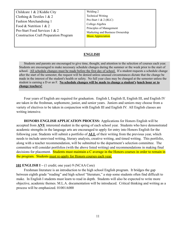Childcare 1 & 2/Kiddie City Clothing & Textiles 1 & 2 Fashion Merchandising 1 Food & Nutrition 1 & 2 Pro-Start Food Services 1 & 2 Construction Craft Preparation Program

Welding 2 Technical Writing Pro-Start 1 & 2 (RLC) College Algebra Principles of Management Marketing and Business Ownership **Music Appreciation** 

#### **ENGLISH**

Students and parents are encouraged to give time, thought, and attention to the selection of courses each year. Students are encouraged to make necessary schedule changes during the summer or the week prior to the start of school. All schedule changes must be made before the first day of school. If a student requests a schedule change after the start of the semester, the request will be denied unless unusual circumstances dictate that the change be made in the interest of the student's health or safety. No full year class may be changed at the semester unless the student is earning a D or an F. **No schedule changes will be made to change a student's lunch hour or to change teachers!**

Four years of English are required for graduation. English I, English II, English III, and English IV are taken in the freshman, sophomore, junior, and senior years. Juniors and seniors may choose from a variety of electives to be taken in conjunction with English III and English IV. All English classes are writing intensive.

**HONORS ENGLISH APPLICATION PROCESS:** Applications for Honors English will be accepted from **ANY** interested student in the spring of each school year. Students who have demonstrated academic strengths in the language arts are encouraged to apply for entry into Honors English for the following year. Students will submit a portfolio of **ALL** of their writing from the previous year, which needs to include unrevised writing, literary analysis, creative writing, and timed writing. This portfolio, along with a teacher recommendation, will be submitted to the department's selection committee. The committee will consider portfolios (with the above listed writing) and recommendations in making final decisions for placement. Students must maintain a C average in the Honors courses in order to remain in the program. Students must re-apply for Honors courses each year.

#### **101 ENGLISH I –** (1 credit; one year) 9 (NCAA Core)

Freshman literature is an introduction to the high school English program. It bridges the gap between eighth grade "reading" and high school "literature," a step some students often find difficult to make. In English I students must learn to read in depth. Students will also be expected to write more objective, academic themes. M.L.A. documentation will be introduced. Critical thinking and writing as a process will be emphasized. 01001A000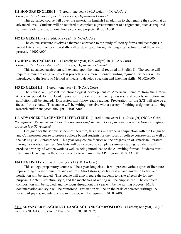#### **111 HONORS ENGLISH I** – (1 credit; one year) 9 (0.5 weight) (NCAA Core)

#### *Prerequisite: Honors Application Process; Department Consent*

This advanced course will cover the material in English I in addition to challenging the student at an advanced level. Students will be required to complete a greater number of assignments, such as required summer reading and additional homework and projects. 01001A000

#### **102 ENGLISH II** – (1 credit; one year) 10 (NCAA Core)

The course structure involves a thematic approach to the study of literary forms and techniques in World Literature. Composition skills will be developed through the ongoing exploration of the writing process. 01002A000

#### **112 HONORS ENGLISH II** – (1 credit; one year) (0.5 weight) 10 (NCAA Core)

*Prerequisite: Honors Application Process; Department Consent*

This advanced curriculum will expand upon the material required in English II. The course will require summer reading, out of class projects, and a more intensive writing regimen. Students will be introduced to the Socratic Method as means to develop speaking and listening skills. 01002A000

#### **103 ENGLISH III** – (1 credit; one year) 11 (NCAA Core)

The course will present the chronological development of American literature from the Native American period to the Contemporaries. Short stories, poetry, essays, and novels in fiction and nonfiction will be studied. Discussion will follow each reading. Preparation for the SAT will also be a focus of this course. This course will be writing intensive with a variety of writing assignments utilizing research and/or analytical thought. 01003A000

**113 ADVANCED PLACEMENT LITERATURE**– (1 credit; one year) 11 (1.0 weight) (NCAA Core) *Prerequisite: Recommended A or B in previous English class; Prior participation in the Honors English program is NOT required.*

Designed for the serious student of literature, this class will work in conjunction with the Language and Composition course to prepare college bound students for the rigors of college coursework as well as the AP English Literature test. This year-long course focuses on the progression of American literature through a variety of genres. Students will be expected to complete summer reading. Students will produce a variety of written work as well as being introduced to the AP writing format. Students must maintain a C average in the course in order to remain in the AP program. 01003A000

#### **104 ENGLISH IV -** (1 credit; one year) 12 (NCAA Core)

This college-preparatory course will be a year-long class. It will present various types of literature representing diverse ethnicities and cultures. Short stories, poetry, essays, and novels in fiction and nonfiction will be studied. This course will also prepare the students to write effectively for any purpose. Content, structure, style, and the mechanics of writing will be emphasized. The complete composition will be studied, and the focus throughout the year will be the writing process. MLA documentation and style will be reinforced. Evaluation will be on the basis of selected writings. A variety of papers, including a research paper, will be required. 01102A000

**\*114 ADVANCED PLACEMENT LANGUAGE AND COMPOSITION**– (1 credit; one year) 12 (1.0 weight) (NCAA Core) (JALC Dual Credit ENG 101/102)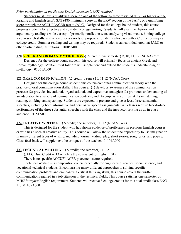#### *Prior participation in the Honors English program is NOT required.*

Students must have a qualifying score on one of the following three tests: ACT (20 or higher on the Reading and English tests), SAT (480 minimum score on the ERW section of the SAT) , or a qualifying score through the ACCUPLACER test at JALC. Designed for the college bound student, this course prepares students for effective and confident college writing. Students will examine rhetoric and argument by reading a wide variety of primarily nonfiction texts, analyzing visual media, honing college level research skills, and writing for a variety of purposes. Students who pass with a C or better may earn college credit. Summer reading and writing may be required. Students can earn dual credit at JALC or other participating institutions. 01005A000

# **120 GREEK AND ROMAN MYTHOLOGY**-(1/2 credit; one semester) 9, 10, 11, 12 (NCAA Core)

Designed for the college bound student, this course will primarily focus on ancient Greek and Roman mythology. Multicultural folklore will supplement and extend the student's understanding of mythology. 01061A000

#### **121 ORAL COMMUNICATION**– (.5 credit, 1 sem.) 10, 11,12 (NCAA Core)

Designed for the college bound student, this course combines communication theory with the practice of oral communication skills. This course: (1) develops awareness of the communication process; (2) provides inventional, organizational, and expressive strategies; (3) promotes understanding of an adaptation to a variety of communication contexts; and (4) emphasizes critical skills in listening, reading, thinking, and speaking. Students are expected to prepare and give at least three substantial speeches, including both informative and persuasive speech assignments. All classes require face-to-face performance of the three substantial speeches with the class and the instructor serving as an in-class audience. 01151A000

# **122 CREATIVE WRITING** – (.5 credit; one semester) 11, 12 (NCAA Core)

This is designed for the student who has shown evidence of proficiency in previous English courses or who has a special creative ability. This course will allow the student the opportunity to use imagination in many different types of writing, including journal writing, play, short stories, song lyrics, and poetry. Class feed-back will supplement the critiques of the teacher. 01104A000

# **123 TECHNICAL WRITING** – (.5 credit; one semester) 11, 12

(JALC Dual Credit =113 which is the equivalent to English 101)

There is no specific ACCUPLACER placement score required

Technical Writing is a composition course especially for engineering, science, social science, and vocational-technical students. Encompassing many different approaches to solving specific communication problems and emphasizing critical thinking skills, this course covers the written communication required in a job situation in the technical fields. This course satisfies one semester of MHS' four year English requirement. Students will receive 3 college credits for this dual credit class ENG 113. 01105A000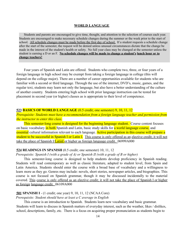#### **WORLD LANGUAGE**

Students and parents are encouraged to give time, thought, and attention to the selection of courses each year. Students are encouraged to make necessary schedule changes during the summer or the week prior to the start of school. All schedule changes must be made before the first day of school. If a student requests a schedule change after the start of the semester, the request will be denied unless unusual circumstances dictate that the change be made in the interest of the student's health or safety. No full year class may be changed at the semester unless the student is earning a D or an F. **No schedule changes will be made to change a student's lunch hour or to change teachers!**

Four years of Spanish and Latin are offered. Students who complete two, three, or four years of a foreign language in high school may be exempt from taking a foreign language in college (this will depend on the college major). There are a number of career opportunities available for students who are familiar with a second or third language. Through the use of the internet, DVD's, music, games, and the regular text, students may learn not only the language, but also have a better understanding of the culture of another country. Students entering high school with prior language instruction can be tested for placement in second year (or higher) classes as is appropriate to their level of competence.

#### **523 BASICS OF WORLD LANGUAGE** (0.5 credit; one semester) 9, 10, 11, 12

*Prerequisite: Students must have a recommendation from a foreign language teacher and permission from the instructor to enter this class.*

This semester-long course is designed for the beginning language student. Course content focuses on basic vocabulary in both Spanish and Latin, basic study skills for a world language course, and essential cultural information relevant to each language. Active participation in this course will prepare a student to be successful in Spanish I or Latin I. This course is only offered as an elective credit; it will not take the place of Spanish I/LatinI or higher as foreign language credit. 06999A000

#### **524 READINGS IN SPANISH** (0.5 credit; one semester) 10, 11, 12

#### *Prerequisite: Spanish I (with a grade of A) or Spanish II (with a grade of B or higher)*

This semester-long course is designed to help students develop proficiency in Spanish reading. Students will read contemporary as well as classic literature, adapted to student level, from Spain and Latin America. Students should enter the course with a broad base of vocabulary and a willingness to learn more as they go. Genres may include: novels, short stories, newspaper articles, and biographies. This course is not focused on Spanish grammar, though it may be discussed incidentally to the material covered. This course is only offered as an elective credit; it will not take the place of Spanish I or higher as foreign language credit. 06109A000

#### **501 SPANISH I** - (1 credit; one year) 9, 10, 11, 12 (NCAA Core)

#### *Prerequisite: Student should have at least a C average in English*

This course is an introduction to Spanish. Students learn new vocabulary and basic grammar. Students will learn to discuss in Spanish matters of everyday interest, such as the weather, likes / dislikes, school, descriptions, family, etc. There is a focus on acquiring proper pronunciation as students begin to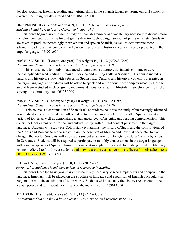develop speaking, listening, reading and writing skills in the Spanish language. Some cultural content is covered, including holidays, food and art. 06101A000

#### **502 SPANISH II** - (1 credit; one year) 9, 10, 11, 12 (NCAA Core) *Prerequisite:*

*Students should have at least a C average in Spanish I.*

Students begin a more in-depth study of Spanish grammar and vocabulary necessary to discuss more complex ideas such as asking for and giving directions, shopping, narration of past events, etc. Students are asked to produce increasingly more written and spoken Spanish, as well as demonstrate more advanced reading and listening comprehension. Cultural and historical content is often presented in the target language. 06102A000

# **\*503 SPANISH III** - (1 credit; one year) (0.5 weight) 10, 11, 12 (NCAA Core)

*Prerequisite: Students should have at least a B average in Spanish II.*

This course includes study of advanced grammatical structures, as students continue to develop increasingly advanced reading, listening, speaking and writing skills in Spanish. This course includes cultural and historical study, with a focus on Spanish art. Cultural and historical content is presented in the target language, and students will be asked to speak and write about more complex ideas such as the art and history studied in class, giving recommendations for a healthy lifestyle, friendship, getting a job, serving the community, etc. 06103A000

#### **\*504 SPANISH IV** - (1 credit; one year)(1.0 weight) 11, 12 (NCAA Core)

*Prerequisite: Students should have at least a B average in Spanish III.*

This course is a continuation of Spanish III, as students continue the study of increasingly advanced grammatical structures. Students will be asked to produce more spoken and written Spanish about a variety of topics, as well as demonstrate an advanced level of listening and reading comprehension. This course includes extensive historical and cultural study, with all said content presented in the target language. Students will study pre-Colombian civilizations, the history of Spain and the contributions of the Moors and Romans to modern day Spain, the conquest of Mexico and how that encounter forever changed the world. Students will also read a student adaptation of Don Quijote de la Mancha by Miguel de Cervantes. Students will be required to participate in monthly conversations in the target language with a native speaker of Spanish through a conversational platform called Boomalang. Seal of Biliteracy testing is offered to fourth year students and may be used to earn university credit, per Illinois school code 105 ILCS 5/2-3.159. 06104A000

#### **511 LATIN I**-(1 credit; one year) 9, 10, 11, 12 (NCAA Core)

*Prerequisite: Students should have at least a C average in English*

Students learn the basic grammar and vocabulary necessary to read simple texts and compose in the language. Emphasis will be placed on the structure of language and expansion of English vocabulary in conjunction with the acquisition of Latin words. Students will also study the history and customs of the Roman people and learn about their impact on the modern world. 06301A000

#### **512 LATIN II** - (1 credit; one year) 10, 11, 12 (NCAA Core) *Prerequisite: Students should have a least a C average second semester in Latin I*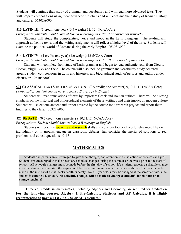Students will continue their study of grammar and vocabulary and will read more advanced texts. They will prepare compositions using more advanced structures and will continue their study of Roman History and culture. 06302A000

#### **513 LATIN III**- (1 credit; one year) (0.5 weight) 11, 12 (NCAA Core)

*Prerequisite: Students should have at least a B average in Latin II or consent of instructor*

Students will study the complexities, voice and mood in the Latin Language. The reading will approach authentic texts, and the writing assignments will reflect a higher level of rhetoric. Students will examine the political world of Romans during the early Empire. 06303A000

#### **514 LATIN IV -** (1 credit; one year) (1.0 weight) 12 (NCAA Core)

*Prerequisite: Students should have at least a B average in Latin III or consent of instructor*

Students will complete their study of Latin grammar and begin to read authentic texts from Cicero, Caesar, Virgil, Livy and Ovid. The course will also include grammar and vocabulary study centered around student compositions in Latin and historical and biographical study of periods and authors under discussion. 06304A000

**521 CLASSICAL TEXTS IN TRANSLATION** - (0.5 credit; one semester) 9,10,11,12 (NCAA Core) *Prerequisite: Student should have at least a B average in English*

Students will read translations of texts by important Greek and Roman authors. There will be a strong emphasis on the historical and philosophical elements of these writings and their impact on modern culture. Students will select one ancient author not covered by the course for a research project and report their findings to the class. 06321A000

#### **522 DEBATE** - (0.5 credit; one semester) 9,10,11,12 (NCAA Core)

*Prerequisites: Student should have at least a B average in English*

Students will practice **speaking and research** skills and consider topics of world relevance. They will, individually or in groups, engage in classroom debates that consider the merits of solutions to real problems and ethical questions. 0115

# **MATHEMATICS**

Students and parents are encouraged to give time, thought, and attention to the selection of courses each year. Students are encouraged to make necessary schedule changes during the summer or the week prior to the start of school. All schedule changes must be made before the first day of school. If a student requests a schedule change after the start of the semester, the request will be denied unless unusual circumstances dictate that the change be made in the interest of the student's health or safety. No full year class may be changed at the semester unless the student is earning a D or an F. **No schedule changes will be made to change a student's lunch hour or to change teachers!**

Three (3) credits in mathematics, including Algebra and Geometry, are required for graduation. **For the following courses, Algebra 2, Pre-Calculus, Statistics and AP Calculus, it is Highly recommended to have a TI 83, 83+, 84 or 84+ calculator.**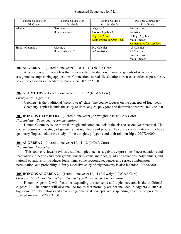| Possible Courses for   | Possible Courses for | Possible Courses                | Possible Courses for            |
|------------------------|----------------------|---------------------------------|---------------------------------|
| 9th Grade              | 10th Grade           | for 11th Grade                  | 12th Grade                      |
| Algebra 1              | Geometry             | Algebra 2                       | Pre-Calculus                    |
|                        | Honors Geometry      | Honors Algebra 2                | <b>Statistics</b>               |
|                        |                      | Algebra 2 Prep                  | College Algebra                 |
|                        |                      | <b>Mathematics for App Tech</b> | Math Literacy                   |
|                        |                      |                                 | <b>Mathematics for App Tech</b> |
| <b>Honors Geometry</b> | Algebra 2            | Pre-Calculus                    | <b>AP Calculus</b>              |
|                        | Honors Algebra 2     | <b>AP</b> Statistics            | <b>AP</b> Statistics            |
|                        |                      |                                 | Pre-Calculus                    |
|                        |                      |                                 | Math Literacy                   |

# **201 ALGEBRA** 1 - (1 credit; one year) 9, 10, 11, 12 (NCAA Core)

Algebra 1 is a full year class that involves the introduction of small segments of Algebra with assignments emphasizing applications. Connections to real life situations are used as often as possible. A scientific calculator is needed for this course. 02052A000

# **202 GEOMETRY** - (1 credit; one year) 10, 11, 12 (NCAA Core)

# *Prerequisite: Algebra 1*

Geometry is the traditional "second year" class. The course focuses on the concepts of Euclidean Geometry. Topics include the study of lines, angles, polygons and their relationships. 02072A000

# **203 HONORS GEOMETRY** - (1 credit; one year) (0.5 weight) 9,10 (NCAA Core)

# *Prerequisite: By teacher recommendation.*

Honors Geometry is the more thorough and complete look at the classic second year material. The course focuses on the study of geometry through the use of proofs. The course concentrates on Euclidean geometry. Topics include the study of lines, angles, polygons and their relationships. 02072A000

# **204 ALGEBRA 2** - (1 credit; one year) 10, 11, 12 (NCAA Core)

# *Prerequisite: Geometry*

This course reviews previously studied topics such as algebraic expressions, linear equations and inequalities, functions and their graphs, linear systems, matrices, quadratic equations, polynomials, and rational equations. It introduces logarithms, conic sections, sequences and series, combination, permutation, and probability. A fairly extensive study of trigonometry is also included. 02056A000

# **205 HONORS ALGEBRA 2 –** (1credit; one year) 10, 11 (0.5 weight) (NCAA Core)

# *Prerequisite: Honors Geometry or Geometry with teacher recommendation*

Honors Algebra 2 will focus on expanding the concepts and topics covered in the traditional Algebra 2. The course will also include topics that normally are not included in Algebra 2, such as trigonometric substitutions and advanced geometrical concepts, while spending less time on previously covered material. 02056A000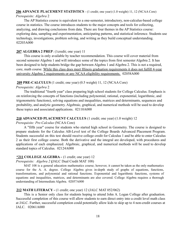# **206 ADVANCE PLACEMENT STATISTICS** - (1 credit; one year) (1.0 weight) 11, 12 (NCAA Core)

# *Prerequisite: Algebra* 2

The AP Statistics course is equivalent to a one-semester, introductory, non-calculus-based college course in statistics. The course introduces students to the major concepts and tools for collecting, analyzing, and drawing conclusions from data. There are four themes in the AP Statistics course: exploring data, sampling and experimentation, anticipating patterns, and statistical inference. Students use technology, investigations, problem solving, and writing as they build conceptual understanding. 02203A000

# **207 ALGEBRA 2 PREP**: (1credit; one year) 11

This course is only available by teacher recommendation. This course will cover material from second semester Algebra 1 and will introduce some of the topics from first semester Algebra 2. It has been designed to help students bridge the gap between Algebra 1 and Algebra 2. This is not a required, core, math course. While this class does meet Illinois graduation requirements it does not fulfill 4-year university Algebra 2 requirements or any NCAA eligibility requirements. 02058A000

# **209 PRE-CALCULUS** (1 credit; one year) (0.5 weight) 11, 12 (NCAA Core)

# *Prerequisite: Algebra* 2

The traditional "fourth year" class preparing high school students for College Calculus. Emphasis is on reinforcing the concepts of functions (including polynomial, rational, exponential, logarithmic, and trigonometric functions), solving equations and inequalities, matrices and determinants, sequences and probability, and analytic geometry. Algebraic, graphical, and numerical methods will be used to develop these topics and associated applications. 02110A000

# **210 ADVANCED PLACEMENT CALCULUS** (1 credit; one year) (1.0 weight) 12

# *Prerequisite: Pre-Calculus* (NCAA Core)

A "fifth year" course for students who started high school in Geometry. The course is designed to prepare students for the Calculus AB-Level test of the College Boards Advanced Placement Program. Students successful on this test should receive college credit for Calculus 1 and be able to enter Calculus 2 as their first college course. Both the derivative and the integral are developed, with procedures and applications of each emphasized. Algebraic, graphical, and numerical methods will be used to develop standard topics of Calculus. 02124A000

# **\*211 COLLEGE ALGEBRA -** (1 credit; one year) 12

# *Prerequisite: Algebra 2* **(**JALC Dual Credit MAT 108)

MAT 108 is a general education mathematics course; however, it cannot be taken as the only mathematics course for the A. A. degree. College Algebra gives in-depth study of graphs of equations, functions, transformations, and polynomial and rational functions. Exponential and logarithmic functions, systems of equations and inequalities, matrices, and determinants are also covered. College Algebra requires a thorough understanding of Intermediate Algebra. 02057A000

# **212 MATH LITERACY -** (1 credit; one year) 12 (JALC MAT 052/062)

This is a Senior only class for students hoping to attend John A. Logan College after graduation. Successful completion of this course will allow students to earn direct entry into a credit level math class at JALC. Further, successful completion could potentially allow kids to skip up to 4 non-credit courses at JALC. 02061A000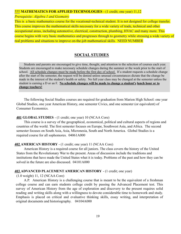#### **\*\*\* MATHEMATICS FOR APPLIED TECHNOLOGIES** - (1 credit; one year) 11,12

*Prerequisite: Algebra 1 and Geometry*

This is a basic mathematics course for the vocational-technical student. It is not designed for college transfer. This course improves the mathematical skills necessary for a wide variety of trade, technical and other occupational areas, including automotive, electrical, construction, plumbing, HVAC and many more. This course begins with very basic mathematics and progresses through to geometry while stressing a wide variety of real problems and situations to improve on-the-job mathematical skills. NEED NUMBER

# **SOCIAL STUDIES**

Students and parents are encouraged to give time, thought, and attention to the selection of courses each year. Students are encouraged to make necessary schedule changes during the summer or the week prior to the start of school. All schedule changes must be made before the first day of school. If a student requests a schedule change after the start of the semester, the request will be denied unless unusual circumstances dictate that the change be made in the interest of the student's health or safety. No full year class may be changed at the semester unless the student is earning a D or an F. **No schedule changes will be made to change a student's lunch hour or to change teachers!**

The following Social Studies courses are required for graduation from Marion High School: one year Global Studies, one year American History, one semester Civics, and one semester (or equivalent) of Consumer Economics.

#### **401 GLOBAL STUDIES** - (1 credit; one year) 10 (NCAA Core)

This course is a survey of the geographical, economical, political and cultural aspects of regions and countries of the world. The first semester focuses on Europe, Southwest Asia, and Africa. The second semester focuses on South Asia, Asia, Micronesia, South and North America. Global Studies is a required course for all sophomores. 04061A000

#### **402 AMERICAN HISTORY** - (1 credit; one year) 11 (NCAA Core)

American History is a required course for all juniors. The class covers the history of the United States from the Revolutionary War to the present. Areas of discussion include the traditions and institutions that have made the United States what it is today. Problems of the past and how they can be solved in the future are also discussed. 04101A000

#### **403 ADVANCED PLACEMENT AMERICAN HISTORY** - (1 credit; one year)

(1.0 weight) 11, 12 (NCAA Core)

A.P. American History is a challenging course that is meant to be the equivalent of a freshman college course and can earn students college credit by passing the Advanced Placement test. This survey of American History from the age of exploration and discovery to the present requires solid reading and writing skills along with a willingness to devote considerable time to homework and study. Emphasis is placed on critical and evaluative thinking skills, essay writing, and interpretation of original documents and historiography. 04104A000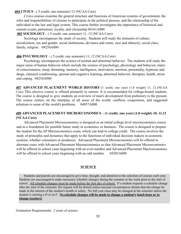#### **404 CIVICS** - (.5 credit; one semester) 12 (NCAA Core)

Civics courses examine the general structure and functions of American systems of government, the roles and responsibilities of citizens to participate in the political process, and the relationship of the individual to the law and legal system. This course further investigates the importance of historical and current events, patriotism, loyalty, and citizenship 04161A000

# **405 SOCIOLOGY** - (.5 credit; one semester) 11, 12 (NCAA Core)

Sociology encompasses the study of society. Students will study the elements of culture, socialization, sex and gender, social institutions, deviance and crime, race and ethnicity, social class, family, religion. 04258A000

# **406 PSYCHOLOGY** - (.5 credit; one semester) 11, 12 (NCAA Core)

Psychology encompasses the science of normal and abnormal behavior. The students will study the major areas of human behavior which include the science of psychology, physiology and behavior, states of consciousness, sleep, dreaming, memory, intelligence, motivation, emotion, personality, hypnosis and drugs, classical conditioning, operant and cognitive learning, abnormal behavior, therapies, health, stress and coping. 04254A000

**407 ADVANCED PLACEMENT WORLD HISTORY**-(1 credit; one year) (1.0 weight) 11, 12 (NCAA Core) This elective course is offered primarily to seniors. It is recommended for college-bound students. The course is designed to give students an overview of man's development from prehistory to the present. The course centers on the interplay of all areas of the world: conflicts, cooperation, and suggested solutions to some of the world's problems. 04057A000

# **409 ADVANCED PLACEMENT MICROECONOMICS – (1 credit; one year) (1.0 weight) 10, 11,12 (NCAA Core)**

Advanced Placement Microeconomics is designed as an initial college level microeconomics course and as a foundation for possible future study in economics or business. The course is designed to prepare the student for the AP Microeconomics exam, which can lead to college credit. The course involves the study of principles and dynamics that apply to the functions of individual decision makers in economic systems, whether consumers or producers. Advanced Placement Microeconomics will be offered in alternate years with Advanced Placement Macroeconomics so that Advanced Placement Microeconomics will be offered in school years beginning with an even number and Advanced Placement Macroeconomics will be offered in school years beginning with an odd number. 04203A000

# **SCIENCE**

Students and parents are encouraged to give time, thought, and attention to the selection of courses each year. Students are encouraged to make necessary schedule changes during the summer or the week prior to the start of school. All schedule changes must be made before the first day of school. If a student requests a schedule change after the start of the semester, the request will be denied unless unusual circumstances dictate that the change be made in the interest of the student's health or safety. No full year class may be changed at the semester unless the student is earning a D or an F. **No schedule changes will be made to change a student's lunch hour or to change teachers!**

Graduation Requirements: 2 years of science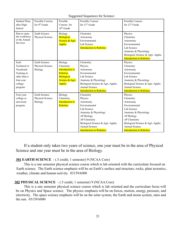Suggested Sequences for Science:

| <b>Student Plans</b><br>after High<br>School                                                         | <b>Possible Courses</b><br>for 9 <sup>th</sup> Grade | Possible<br>Courses for<br>$10th$ Grade                                                                              | <b>Possible Courses</b><br>for 11 <sup>th</sup> Grade                                                                                                                                                                     | <b>Possible Courses</b><br>for $12th$ Grade                                                                                                                                                                               |
|------------------------------------------------------------------------------------------------------|------------------------------------------------------|----------------------------------------------------------------------------------------------------------------------|---------------------------------------------------------------------------------------------------------------------------------------------------------------------------------------------------------------------------|---------------------------------------------------------------------------------------------------------------------------------------------------------------------------------------------------------------------------|
| Plan to enter<br>the workforce<br>or the Armed<br>Services                                           | Earth Science<br>Physical Science                    | Biology<br><b>Biological</b><br>Science & Agri.<br>Applic.                                                           | Chemistry<br>Astronomy<br>Environmental<br>Lab Science<br><b>Introduction to Robotics</b>                                                                                                                                 | Physics<br>Chemistry<br>Astronomy<br>Environmental<br>Lab Science<br>Anatomy & Physiology<br>Biological Science & Agri. Applic.<br><b>Introduction to Robotics</b>                                                        |
| Seek<br>Technical or<br>Vocational<br>Training in<br>other than a<br>four-year<br>college<br>program | Earth Science<br>Physical Science<br>Biology         | Biology<br>Chemistry<br><b>Introduction to</b><br><b>Robotics</b><br><b>Biological</b><br>Science & Agri.<br>Applic. | Chemistry<br>Physics<br>Astronomy<br>Environmental<br>Lab Science<br>Anatomy & Physiology<br>Biological Science & Agri. Applic.<br><b>Animal Science</b><br><b>Introduction to Robotics</b>                               | Physics<br>Chemistry<br>Astronomy<br>Environmental<br>Lab Science<br>Anatomy & Physiology<br>Biological Science & Agri. Applic.<br><b>Animal Science</b><br><b>Introduction to Robotics</b>                               |
| Four-year<br>college or<br>university<br>program                                                     | Earth Science<br>Physical Science<br>Biology         | Biology<br>Chemistry<br><b>Introduction to</b><br>Robotics                                                           | Chemistry<br>Physics<br>Astronomy<br>Environmental<br>Lab Science<br>Anatomy & Physiology<br><b>AP Biology</b><br>AP Chemistry<br>Biological Science & Agri. Applic.<br>Animal Science<br><b>Introduction to Robotics</b> | Physics<br>Chemistry<br>Astronomy<br>Environmental<br>Lab Science<br>Anatomy & Physiology<br><b>AP Biology</b><br>AP Chemistry<br>Biological Science & Agri. Applic.<br>Animal Science<br><b>Introduction to Robotics</b> |

If a student only takes two years of science, one year must be in the area of Physical Science and one year must be in the area of Biology.

# **301 EARTH SCIENCE** - (.5 credit; 1 semester) 9 (NCAA Core)

This is a one semester physical science course which is lab oriented with the curriculum focused on Earth science. The Earth science emphasis will be on Earth's surface and structure, rocks, plate tectonics, weather, climate and human activity. 03159A000

# **302 PHYSICAL SCIENCE** - (.5 credit; 1 semester) 9 (NCAA Core)

This is a one semester physical science course which is lab oriented and the curriculum focus will be on Physics and Space science. The physics emphasis will be on forces, motion, energy, pressure, and electricity. The space science emphasis will be on the solar system, the Earth and moon system, stars and the sun. 03159A000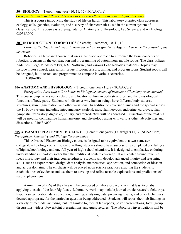#### **304 BIOLOGY** - (1 credit; one year) 10, 11, 12 (NCAA Core)

*Prerequisite: Earth and Physical Science or concurrently with Earth and Physical Science*

This is a course introducing the study of life on Earth. This laboratory oriented class addresses ecology, cells, genetics, evolution, and a survey of characteristics used in the current system of classification. This course is a prerequisite for Anatomy and Physiology, Lab Science, and AP Biology. 03051A000

#### **307 INTRODUCTION TO ROBOTICS** (.5 credit; 1 semester) 10, 11, 12

*Prerequisite: The student needs to have earned a B or greater in Algebra 1 or have the consent of the instructor*.

Robotics is a lab-based course that uses a hands-on approach to introduce the basic concepts of robotics, focusing on the construction and programming of autonomous mobile robots. The class utilizes Arduinos , Lego Mindstorm kits, NXT Software, and various Lego Robotics materials. Topics may include motor control, gear ratios, torque, friction, sensors, timing, and program loops. Student robots will be designed, built, tested, and programmed to compete in various scenarios.

21009A000

#### **306 ANATOMY AND PHYSIOLOGY** - (1 credit; one year) 11,12 (NCAA Core)

*Prerequisite: Pass with a C or better in Biology or consent of instructor, Chemistry recommended* This course emphasizes nomenclature and location of human body structures, and the physiological functions of body parts. Students will discover why human beings have different body statures, structures, skin pigmentation, and other variations. In addition to covering tissues and the special senses, the 11 body systems including integumentary, skeletal, muscular, nervous, endocrine, cardiovascular, lymphatic, respiratory, digestive, urinary, and reproductive will be addressed. Dissection of the fetal pig will be used for comparative human anatomy and physiology along with various other lab activities and dissections. 03053A000

### **305 ADVANCED PLACEMENT BIOLOGY** – (1 credit; one year) (1.0 weight) 11,12 (NCAA Core) *Prerequisite: Chemistry and Biology Recommended*

This Advanced Placement Biology course is designed to be equivalent to a two-semester college-level biology course. Before enrolling, students should have successfully completed one full year of high school biology and one full year of high school chemistry. It is designed to emphasize enduring understandings in biology rather than the traditional content coverage. It will center around four Big Ideas in Biology and their interconnectedness. Students will develop advanced inquiry and reasoning skills, such as experimental design, data analysis, mathematical application, and connection of ideas in and across domains. The emphasis will be placed upon science practices enabling the students to establish lines of evidence and use them to develop and refine testable explanations and predictions of natural phenomena.

A minimum of 25% of the class will be composed of laboratory work, with at least two labs applying to each of the four Big Ideas. Laboratory work may include journal article research, field trips, hypothesis generation, data collection, planning, analyzing data, preparing results, and other techniques deemed appropriate for the particular question being addressed. Students will report their lab findings in a variety of methods, including, but not limited to, formal lab reports, poster presentations, focus group discussions, videos, PowerPoint presentations, and guest lectures. The laboratory investigations will be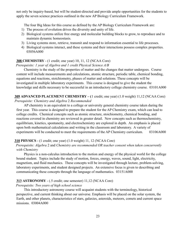not only be inquiry-based, but will be student-directed and provide ample opportunities for the students to apply the seven science practices outlined in the new AP Biology Curriculum Framework.

The four Big Ideas for this course as defined by the AP Biology Curriculum Framework are:

- 1) The process of evolution drives the diversity and unity of life.
- 2) Biological systems utilize free energy and molecular building blocks to grow, to reproduce and to maintain dynamic homeostasis.
- 3) Living systems store, retrieve, transmit and respond to information essential to life processes.
- 4) Biological systems interact, and these systems and their interactions possess complex properties. 03056A000

#### **308 CHEMISTRY** - (1 credit; one year) 10, 11, 12 (NCAA Core)

*Prerequisite: 1 year of Algebra and 1 credit Physical Science A/B*

Chemistry is the study of the properties of matter and the changes that matter undergoes. Course content will include measurements and calculations, atomic structure, periodic table, chemical bonding, equations and reactions, stoichiometry, phases of matter and solutions. These concepts will be investigated in multiple laboratory experiments. This course is designed to give the student the knowledge and skills necessary to be successful in an introductory college chemistry course. 03101A000

**309 ADVANCED PLACEMENT CHEMISTRY – (**1 credit; one year) (1.0 weight) 11,12 (NCAA Core) *Prerequisite: Chemistry and Algebra* 2 *Recommended*

AP chemistry is an equivalent to a college or university general chemistry course taken during the first year. This course is designed to prepare the student for the AP Chemistry exam, which can lead to college credits. Chemical concepts such as atomic structure, stoichiometry, chemical bonding, and reactions covered in chemistry are reviewed in greater detail. New concepts such as thermochemistry, equilibrium, kinetics, spontaneity, and electrochemistry are explored in depth. An emphasis is placed upon both mathematical calculations and writing in the classroom and laboratory. A variety of experiments will be conducted to meet the requirements of the AP Chemistry curriculum. 03106A000

#### **310 PHYSICS** - (1 credit; one year) (1.0 weight) 11, 12 (NCAA Core)

*Prerequisite: Algebra* 2 and *Chemistry are recommended OR teacher consent when taken concurrently with Chemistry*

Physics is a non-calculus introduction to the motion and energy of the physical world for the college bound student. Topics include the study of motion, forces, energy, waves, sound, light, electricity, magnetism, and fluid mechanics. These concepts will be investigated through lecture, problem-solving, laboratory experiments, and student designed projects. An extensive focus is given to describing and communicating these concepts through the language of mathematics. 03151A000

#### **313 ASTRONOMY** - (.5 credit; one semester) 11,12 (NCAA Core)

#### *Prerequisite: Two years of high school science*

This introductory astronomy course will acquaint students with the terminology, historical perspective, and current thinking about our universe. Emphasis will be placed on the solar system, the Earth, and other planets, characteristics of stars, galaxies, asteroids, meteors, comets and current space missions. 03004A000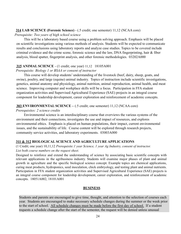#### **314 LAB SCIENCE (Forensic Science)** - (.5 credit; one semester) 11,12 (NCAA core)

*Prerequisite: Two years of high school science*

This will be a laboratory based course using a problem solving approach. Emphasis will be placed on scientific investigations using various methods of analysis. Students will be expected to communicate results and conclusions using laboratory reports and analyze case studies. Topics to be covered include criminal evidence and the crime scene, forensic science and the law, DNA fingerprinting, hair & fiber analysis, blood spatter, fingerprint analysis, and other forensic methodologies. 03202A000

#### **315 ANIMAL SCIENCE** - (1 credit; one year) 11,12 18105A001

#### *Prerequisite: Biology 1 or BSAA or consent of instructor*

This course will develop students' understanding of the livestock (beef, dairy, sheep, goats, and swine), poultry, and large (equine) animal industry. Topics of instruction include scientific investigations, genetics, animal anatomy and physiology, animal nutrition, animal reproduction, animal health, and meat science. Improving computer and workplace skills will be a focus. Participation in FFA student organization activities and Supervised Agricultural Experience (SAE) projects in an integral course component for leadership development, career exploration and reinforcement of academic concepts.

#### **303 ENVIRONMENTAL SCIENCE –** (.5 credit; one semester) 11,12 (NCAA core)

#### *Prerequisites: 2 science credits*

Environmental science is an interdisciplinary course that overviews the various systems of the environment and their connections, investigates the use and impact of resources, and explores environmental ethics. Emphasis is placed on human populations, their impact, current environmental issues, and the sustainability of life. Course content will be explored through research projects, community service activities, and laboratory experiments. 03003A000

#### **311 & 312 BIOLOGICAL SCIENCE AND AGRICULTURE APPLICATIONS**

#### (1 Credit; one year) 10,11,12 *Prerequisite:1 year Science, 1 year Ag Industry, consent of instructor. List both course numbers on the request sheet.*

Designed to reinforce and extend the understanding of science by associating basic scientific concepts with relevant applications in the agribusiness industry. Students will examine major phases of plant and animal growth in agriculture and the specific biological science concept. Example topics are chemical applications, curing meat products, hydroponics, seed inoculation, chick embryology, and testing plant and animal nutrients. Participation in FFA student organization activities and Supervised Agricultural Experience (SAE) projects is an integral course component for leadership development, career exploration, and reinforcement of academic concepts. 18051A002, 18101A001

#### **BUSINESS**

Students and parents are encouraged to give time, thought, and attention to the selection of courses each year. Students are encouraged to make necessary schedule changes during the summer or the week prior to the start of school. All schedule changes must be made before the first day of school. If a student requests a schedule change after the start of the semester, the request will be denied unless unusual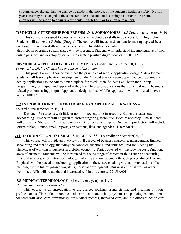circumstances dictate that the change be made in the interest of the student's health or safety. No full year class may be changed at the semester unless the student is earning a D or an F. **No schedule changes will be made to change a student's lunch hour or to change teachers!**

#### **715 DIGITAL CITIZENSHIP FOR FRESHMAN & SOPHOMORES** - (.5 Credit; one semester) 9, 10

This course is designed to emphasize necessary technology skills to be successful in high school. Students will utilize the G Suite (Google). The course will focus on document formatting, spreadsheet creation, presentation skills and video production. In addition, essential chromebook operating system usage will be presented. Students will understand the implications of their online presence and develop cyber skills to create a positive digital footprint. 10008A001

#### **705 MOBILE APPLICATION DEVELOPMENT** (.5 Credit, One Semester) 10, 11, 12

*Prerequisite: Digital Citizenship*, *or consent of instructor*

This project-oriented course examines the principles of mobile application design & development. Students will learn application development on the Android platform using open-source programs and deploy applications to the Android marketplace for distribution. Students will learn mobile app programming techniques and apply what they learn to create applications that solve real world business related problems using program/application design skills. Mobile Application will be offered in even years. 10011A001

# **732 INTRODUCTION TO KEYBOARDING & COMPUTER APPLICATIONS** –

(.5 credit; one semester) 9, 10, 11

Designed for students with little or no prior keyboarding instruction. Students master touch keyboarding. Emphasis will be given to correct fingering, technique, speed & accuracy. The students will utilize the Microsoft Office suite on a variety of document types. Document production will include: letters, tables, memos, email, reports, applications, lists, and agendas. 12005A001

# **704 INTRODUCTION TO CAREERS IN BUSINESS** – (.5 credit; one semester) 9, 10

This course will provide an overview of all aspects of business marketing, management, finance, accounting and technology, including the concepts, functions, and skills required for meeting the challenges of working in business in a global economy. Topics covered will include the basic functional areas of business. Students will be introduced to a wide range of careers in fields such as accounting, financial services, information technology, marketing and management through project-based learning. Emphasis will be placed on technology application in these careers along with communication skills, planning for the future, job-seeking skills, personal development. Business ethics as well as other workplace skills will be taught and integrated within this course. 22151A001

# **723 MEDICAL TERMINOLOGY** - (1 credit; one year) 10, 11,12

# *Prerequisite: consent of instructor*

This course is an introduction to the correct spelling, pronunciation, and meaning of roots, prefixes, and suffixes of common medical terms that relate to body systems and pathological conditions. Students will also learn terminology for medical records, managed care, and the different health care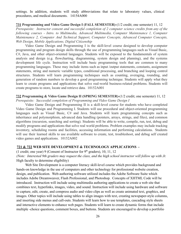settings. In addition, students will study abbreviations that relate to laboratory values, clinical procedures, and medical documents. 14154A000

#### **731 Programming and Video Game Design I (FALL SEMESTER)-**(1/2 credit; one semester) 11, 12

*Prerequisite: Instructor consent and successful completion of 2 computer science credits from any of the following courses - Intro. to Multimedia, Advanced Multimedia, Computer Maintenance 1, Computer Maintenance 2, Computer And Technical Support, Computer Concepts, Advanced Computer Concepts, Web Design, Mobile Applications, Digital Citizenship*

Video Game Design and Programming I is the skill-level course designed to develop computer programming and program design skills through the use of programming languages such as Visual Basic, C#, Java, and other object-oriented languages. Students will be exposed to the fundamentals of system analysis and design (e.g. flowcharting, diagramming, system design and planning), and the systems development life cycle. Instruction will include basic programming tools that are common to many programming languages. These may include items such as input /output statements, constants, assignment statements, string and numeric variable types, conditional processing, and branching and looping control structures. Students will learn programming techniques such as counting, averaging, rounding, and generation of random numbers to develop a good programming technique. Students will apply what they learn to create programs and applications that solve real-world business-related problems. Students will create programs to store, locate and retrieve data. 10152A001

#### **732 Programming & Video Game Design II (SPRING SEMESTER)-**(1/2 credit; one semester) 11, 12

*Prerequisite: Successful completion of Programming and Video Game Design I*

Video Game Design and Programming II is a skill-level course for students who have completed Video Game Design and Programming I. Students will use procedural and object-oriented programming languages such as Visual Basic, C# and Java. Students will learn programming concepts such as inheritance and polymorphism, advanced data handling (pointers, arrays, strings, and files), and common algorithms (recursion, searching and sorting). Students will be able to write, compile, run, test, debug and modify programs and applications that solve real world problems. Problem examples may include tracking inventory, scheduling rooms and facilities, accessing information and performing calculations. Students will use their learned skills to use available software to create, test, troubleshoot, and debug self created video games and applications. 10152A002

#### **721 & 722 WEB SITE DEVELOPMENT & TECHNOLOGY APPLICATIONS –**

(1 credit; one year) 9 (Consent of Instructor for  $9<sup>th</sup>$  graders), 10, 11, 12 *(Note: Interested 9th graders may request the class, and the high school instructor will follow up with Jr.* High faculty to determine eligibility)

Web Site Development is a computer literacy skill-level course which provides background and hands-on knowledge in the use of computers and other technology for professional website creation, design, and publication. Web-authoring software utilized includes the Adobe Software Suite which includes Adobe Dreamweaver, Flash Professional, and Photoshop. Concepts of XHTML Code will be introduced. Instruction will include using multimedia authoring applications to create a web site that combines text, hyperlinks, images, video, and sound. Instruction will include using hardware and software to capture, edit, create, and compress audio and video clips as well as create animated text, graphics, and images. Other topics will include using tables to align images with text, creating newspaper-style columns, and inserting side menus and call-outs. Students will learn how to use templates, cascading style sheets and interactive elements to enhance web pages. Students will learn to create dynamic forms that include multiple -choice questions, comment boxes, and buttons. Students are encouraged to develop a portfolio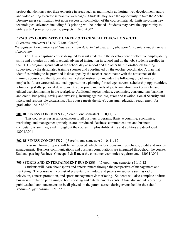project that demonstrates their expertise in areas such as multimedia authoring, web development, audio and video editing to create interactive web pages. Students may have the opportunity to take the Adobe Dreamweaver certification test upon successful completion of the course material. Units involving new technological advances including 3-D printing will be included. Students may have the opportunity to utilize a 3-D printer for specific projects. 10201A002

# **\*724 & 725 COOPERATIVE CAREER & TECHNICAL EDUCATION (CCTE)**

#### (4 credits; one year) 12 (JALC Dual Credit)

# *Prerequisite: Completion of at least two career & technical classes, application form, interview, & consent of instructor*

CCTE is a capstone course designed to assist students in the development of effective employability skills and attitudes through practical, advanced instruction in school and on the job. Students enrolled in the CCTE program spend half of the school day at school and the other half in on-the-job training supervised by the designated training sponsor and coordinated by the teacher-coordinator. A plan that identifies training to be provided is developed by the teacher-coordinator with the assistance of the training sponsor and the student-trainee. Related instruction includes the following broad areas of emphasis: future career educational opportunities, planning for college, careers, scholarship opportunities, job-seeking skills, personal development, appropriate methods of job termination, worker safety, and ethical decision making in the workplace. Additional topics include: economics, consumerism, banking and credit, budgeting, saving and investing, insuring against loss, taxes and taxation, Social Security and IRAs, and responsible citizenship. This course meets the state's consumer education requirement for graduation. 22153A001

#### **701 BUSINESS CONCEPTS 1**- (.5 credit; one semester) 9, 10,11, 12

This course serves as an orientation to all business programs. Basic accounting, economics, marketing, and management principles are introduced. Business communications and business computations are integrated throughout the course. Employability skills and abilities are developed. 12001A001

#### **702 BUSINESS CONCEPTS 2** - (.5 credit; one semester) 9, 10, 11, 12

Personal finance topics will be introduced which include consumer purchases, credit and money management. Business communications and business computations are integrated throughout the course. Students passing Business Concepts I & II meet the consumer economics requirement. 12051A001

#### **703 SPORTS AND ENTERTAINMENT BUSINESS** – (.5 credit; one semester) 10,11,12

Students will learn about sports and entertainment through the perspective of management and marketing. The course will consist of presentations, video, and papers on subjects such as radio, television, concert promotion, and sports management & marketing. Students will also complete a virtual business simulation pertaining to both sporting and entertainment events. Class also includes creating public/school announcements to be displayed on the jumbo screen during events held in the school stadium & gymnasium. 12163A001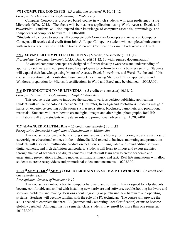#### **\*711 COMPUTER CONCEPTS** - (.5 credit; one semester) 9, 10, 11, 12

# *Prerequisite: One semester Keyboarding or Proficiency*

Computer Concepts is a project based course in which students will gain proficiency using Microsoft Office 2013. The focus will be business applications using Word, Access, Excel, and PowerPoint. Students will also expand their knowledge of computer essentials, terminology, and components of computer hardware. 10004A001

\*Students who choose to successfully complete both Computer Concepts and Advanced Computer Concepts will receive dual credit from John A. Logan College. A student who completes both courses with an A average may be eligible to take a Microsoft Certification exam in both Word and Excel.

# **\*712 ADVANCED COMPUTER CONCEPTS** - *(*.5 credit; one semester) 10,11,12

*Prerequisite: Computer Concepts* (JALC Dual Credit 11-12, 10 with required documentation)

Advanced computer concepts are designed to further develop awareness and understanding of application software and equipment used by employees to perform tasks in a business setting. Students will expand their knowledge using Microsoft Access, Excel, PowerPoint, and Word. By the end of this course, in addition to demonstrating basic competency in using Microsoft Office applications and Windows, preparation for Microsoft certifications in Word and Excel may be obtained. 10005A001

# **716 INTRODUCTION TO MULTIMEDIA –** (.5 credit; one semester) 10,11,12

*Prerequisite: Intro. To Keyboarding or Digital Citizenship*

This course is designed to introduce the student to various desktop publishing applications. Students will utilize the Adobe Creative Suite (Illustrator, In Design and Photoshop). Students will gain hands-on experience creating publications such as newsletters, brochures, pamphlets, and promotional materials. Students will learn how to create digital images and alter digital photographs. Real life simulations will allow students to create awards and promotional advertising. 10203A001

# **717 ADVANCED MULTIMEDIA –** (.5 credit; one semester) 10,11,12

# *Prerequisite: Successful completion of Introduction to Multimedia*

This course is designed to build strong visual and media literacy for life-long use and awareness of career/higher educational choices in the multimedia field related to business marketing and promotions. Students will also learn multimedia production techniques utilizing video and sound editing software, digital cameras, and high definition camcorders. Students will learn to import and export graphics through the use of scanners and digital cameras. Students will learn how to create academic and entertaining presentations including movies, animations, music and text. Real life simulations will allow students to create recap videos and promotional video announcements. 10203A001

# **713(1ST SEM.) 714(2ND SEM.) COMPUTER MAINTENANCE & NETWORKING**– (.5 credit each; one semester each)

# *Prerequisite: Consent of Instructor 9-12*

This course is an introduction to computer hardware and software. It is designed to help students become comfortable and skilled with installing new hardware and software, troubleshooting hardware and software problems, and making decisions about upgrading or purchasing new hardware and operating systems. Students will become familiar with the role of a PC technician. The course will provide the skills needed to complete the three IC3 (Internet and Computing Core Certification) exams to become globally certified. Although this is a semester class, students may enroll for more than one semester. 10102A001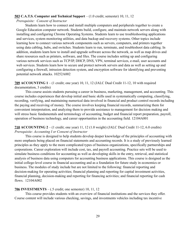#### **503 C.A.T.S. Computer and Technical Support** – (1.0 credit; semester) 10, 11, 12

#### *Prerequisite: Consent of Instructor*

Students learn how to connect and install multiple computers and peripherals together to create a Google Education computer network. Students build, configure, and maintain network servers along with installing and configuring Chrome Operating Systems. Students learn to use troubleshooting applications and services, system monitoring utilities, and data backup and recovery systems. Other topics include learning how to connect various network components such as servers, computers, and printers together using data cabling, hubs, and switches. Students learn to run, terminate, and troubleshoot data cabling. In addition, students learn how to install and upgrade software across the network, as well as map drives and share resources such as printers, software, and files. The course includes setting up and configuring various network services such as TCP/IP, DHCP, DNS, VPN, terminal services, e-mail, user accounts and web services. Students learn how to secure and protect network servers and data as well as setting up and configuring a firewall, intrusion detection system, and encryption software for identifying and preventing potential network attacks. 10252A002

**709 ACCOUNTING 1** – (1 credit; one year) 10, 11, 12 (JALC Dual Credit 11-12, 10 with required documentation, 3 credits)

This course assists students pursuing a career in business, marketing, management, and accounting. This course includes experiences that develop initial and basic skills used in systematically computing, classifying, recording, verifying, and maintaining numerical data involved in financial and product control records including the paying and receiving of money. The course involves keeping financial records, summarizing them for convenient interpretation, and analyzing them to provide assistance to management for decision making and will stress basic fundamentals and terminology of accounting, budget and financial report preparation, payroll, operation of business technology, and career opportunities in the accounting field. 12104A001

# **710 ACCOUNTING 2** – (1 credit; one year) 11, 12 (1.0 weight) (JALC Dual Credit 11-12, 6.0 credits) *Prerequisite: Accounting I or Consent of Instructor*

This course is designed to help students develop deeper knowledge of the principles of accounting with more emphasis being placed on financial statements and accounting records. It is a study of previously learned principles as they apply to the more complicated types of business organizations, specifically partnerships and corporations. Career exploration will include cost, tax, and payroll accounting. Practice sets will be used to simulate business conditions for accounting as well as developing skills in the entry, retrieval, and statistical analysis of business data using computers for accounting business applications. This course is designed as the initial college-level course in financial accounting and as a foundation for future study in economics or business. The modules of study include but are not limited to the following: financial reporting and decision-making for operating activities; financial planning and reporting for capital investment activities, financial planning, decision-making and reporting for financing activities; and financial reporting for cash flows. 12104A002

#### **706 INVESTMENTS** – (.5 credit; one semester) 10, 11, 12

This course provides students with an overview of financial institutions and the services they offer. Course content will include various checking, savings, and investments vehicles including tax incentive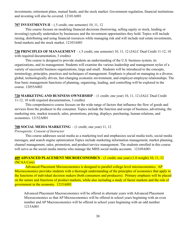investments, retirement plans, mutual funds, and the stock market. Government regulation, financial institutions and investing will also be covered. 12101A001

#### **707 INVESTMENTS II** – (.5 credit; one semester) 10, 11, 12

This course focuses on modeling financial decisions (borrowing, selling equity or stock, lending or investing) typically undertaken by businesses and the investment opportunities they hold. Topics will include raising, distributing and using financial resources while managing risk and will include real estate investments, bond markets and the stock market. 12103A001

**730 PRINCIPLES OF MANAGEMENT** – (.5 credit; one semester) 10, 11, 12 (JALC Dual Credit 11-12, 10 with required documentation, 3 credits)

This course is designed to provide students an understanding of the U.S. business system, its organizations, and its management. Students will examine the various leadership and management styles of a variety of successful business organizations, large and small. Students will be introduced to the concepts, terminology, principles, practices and techniques of management. Emphasis is placed on managing in a diverse, global, technologically driven, fast-changing economic environment, and employer-employee relationships. The four basic management functions of planning, organizing, leading, and controlling will be explored in the course. 12055A002

# **720 MARKETING AND BUSINESS OWNERSHIP** – (1 credit; one year) 10, 11, 12 (JALC Dual Credit

11-12, 10 with required documentation, 3 credits)

This comprehensive course focuses on the wide range of factors that influence the flow of goods and services from the producer to the consumer. Topics include the function and scope of business, advertising, the marketing mix, market research, sales, promotions, pricing, displays, purchasing, human relations, and economics. 12152A001

# **708 SOCIAL MEDIA MARKETING** – (1 credit; one year) 11, 12

#### *Prerequisite: Consent of Instructor*

This course addresses social media as a marketing tool and emphasizes social media tools, social media messages, and search engine optimization Topics include marketing information management, market planning, channel management, sales, promotion, and product/service management. The students enrolled in this course will serve as the social media interns who manage the MHS social media accounts. 12169A001

# **409 ADVANCED PLACEMENT MICROECONOMICS** – (1 credit; one year) (1.0 weight) 10, 11, 12 (NCAA Core)

Advanced Placement Microeconomics is designed to parallel college-level microeconomics. AP Microeconomics provides students with a thorough understanding of the principles of economics that apply to the functions of individual decision makers (both consumers and producers). Primary emphasis will be placed on the nature and functions of product markets, while also including a study of factor markets and the role of government in the economy. 1215A001

Advanced Placement Macroeconomics will be offered in alternate years with Advanced Placement Microeconomics so that AP Microeconomics will be offered in school years beginning with an even number and AP Macroeconomics will be offered in school years beginning with an odd number. 1215A001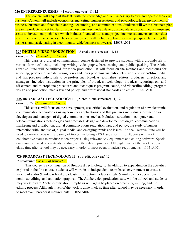#### **726 ENTREPRENEURSHIP** - (1 credit; one year) 11, 12

This course will acquaint students with the knowledge and skill necessary to own and operate their own business. Content will include economics, marketing, human relations and psychology, legal environment of business, business and financial planning, accounting, and communications. Students will write a business plan, research product-market fit, design a business business model, develop a website and social media campaign, create an investment pitch deck which includes financial ratios and project income statements, and consider government compliance issues. The capstone project will include applying for startup capital, launching the business, and participating in a community-wide business showcase. 12053A001

#### **396 DIGITAL VIDEO PRODUCTION** - (.5 credit; one semester) 11, 12

#### *Prerequisite: Consent of Instructor.*

This class is a digital communication course designed to provide students with a groundwork in various forms of media, including writing, videography, broadcasting, and public speaking. The Adobe Creative Suite will be utilized for video production. It will focus on the methods and techniques for reporting, producing, and delivering news and news programs via radio, television, and video/film media; and that prepares individuals to be professional broadcast journalists, editors, producers, directors, and managers. Includes instruction in the principles of broadcast technology; broadcast reporting; on- and off-camera and microphone procedures and techniques; program, sound, and video/film editing; program design and production; media law and policy; and professional standards and ethics. 10201A001

#### **728 BROADCAST TECHNOLOGY I** - (.5 credit; one semester) 11, 12

#### *Prerequisite: Consent of Instructor.*

This course will focus on the development, use, critical evaluation, and regulation of new electronic communication technologies using computer applications; and that prepares individuals to function as developers and managers of digital communications media. Includes instruction in computer and telecommunications technologies and processes; design and development of digital communications; marketing and distribution; digital communications regulation, law, and policy; the study of human interaction with, and use of, digital media; and emerging trends and issues. Adobe Creative Suite will be used to create videos with a variety of topics, including a PSA and short film. Students will work in collaborative teams to produce video projects using relevant A/V equipment and editing software. Special emphasis is placed on creativity, writing, and the editing process. Although much of the work is done in class, time after school may be necessary in order to meet event broadcast requirements. 11051A001

#### **729 BROADCAST TECHNOLOGY II** - (1 credit; one year) 12

#### *Prerequisite: Consent of Instructor.*

This course is a continuation of Broadcast Technology 1. In addition to expanding on the activities explored in the first course, students will work in an independent, team-based environment to create a variety of audio & video related broadcasts. Instruction includes single & multi camera operations, nonlinear editing, and animation graphics. The Adobe video production suite will be utilized and students may work toward Adobe certification. Emphasis will again be placed on creativity, writing, and the editing process. Although much of the work is done in class, time after school may be necessary in order to meet event broadcast requirements. 11051A002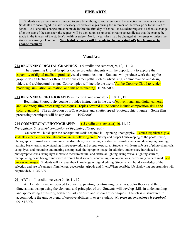# **FINE ARTS**

Students and parents are encouraged to give time, thought, and attention to the selection of courses each year. Students are encouraged to make necessary schedule changes during the summer or the week prior to the start of school. All schedule changes must be made before the first day of school. If a student requests a schedule change after the start of the semester, the request will be denied unless unusual circumstances dictate that the change be made in the interest of the student's health or safety. No full year class may be changed at the semester unless the student is earning a D or an F. **No schedule changes will be made to change a student's lunch hour or to change teachers!**

#### **Visual Arts**

#### **912 BEGINNING DIGITAL GRAPHICS** - (.5 credit; one semester) 9, 10, 11, 12

The Beginning Digital Graphics course provides students with the opportunity to explore the capability of digital media to produce visual communications. Students will produce work that applies graphic design techniques through various career paths such as advertising, commercial art and design, video, and architectural design. Course topics will include the use of Adobe Creative Cloud to render modeling, simulation, animation, and image retouching. 10202A002

# **913 BEGINNING PHOTOGRAPHY** - (.5 credit; one semester) 9, 10, 11, 12

Beginning Photography course provides instruction in the use of **conventional and digital cameras** and laboratory film processing techniques. Topics covered in the course include composition skills and color dynamics. The application of ISO, Aperture and Shutter speed (photographic triangle). Some film processing techniques will be explored. 11052A003

#### **914 COMMERCIAL PHOTOGRAPHY 1 -** (.5 credit; one semester) 10, 11, 12

#### *Prerequisite: Successful completion of Beginning Photography*

Students will build upon the concepts and skills acquired in Beginning Photography. Planned experiences give students a clear and concise introduction in the following areas: Safety and proper housekeeping of the photo studio, photography of visual and communicative discipline, constructing a usable cardboard camera and developing printing, learning basic terms, understanding film/paperwork, and proper exposure. Students will learn safe use of photo chemicals, using dyes, and mounting and matting a completed photographic image. In addition, students are introduced to photographic terms, using light meters to measure natural and artificial lighting, using various lighting sources, manipulating basic backgrounds with different light sources, conducting shop operations, performing camera work, and processing images. Students will increase their knowledge of digital editing. Students will build knowledge of the selection and use of cameras, film, lenses, accessories, tripods and filters.When possible, job shadowing opportunities will be provided. 11052A001

#### **901 ART 1** - (1 credit; one year) 9, 10, 11, 12

Art 1 students are introduced to drawing, painting, printmaking, ceramics, color theory and three dimensional design using the elements and principles of art. Students will develop skills in understanding and appreciating art history, aesthetics, art criticism and studio art techniques. This class is structured to accommodate the unique blend of creative abilities in every student. *No prior art experience is required.* 05154A000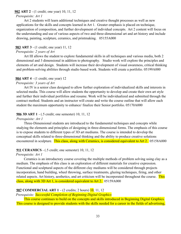#### **902 ART 2** - (1 credit; one year) 10, 11, 12

#### *Prerequisite: Art 1*

Art 2 students will learn additional techniques and creative thought processes as well as new applications for the skills and concepts learned in Art 1. Greater emphasis is placed on technique, organization of composition, and further development of individual concepts. Art 2 content will focus on the understanding and use of various aspects of two and three-dimensional art and art history and include drawing, painting, sculpture, ceramics, and printmaking. 05155A000

#### **903 ART 3** - (1 credit; one year) 11, 12

#### *Prerequisite: 2 years of Art*

Art III allows the student to explore fundamental skills in all techniques and various media, both 2 dimensional and 3 dimensional in addition to photography. Studio work will explore the principles and elements of art and design. Students will increase their development of visual awareness, critical thinking and problem-solving abilities through studio based work. Students will create a portfolio. 05199A000

#### **904 ART 4** - (1 credit; one year) 12

#### *Prerequisite: 3 years of Art*

Art IV is a senior class designed to allow further exploration of individualized skills and interests in selected media. This course will allow students the opportunity to develop and create their own art style and further their individual portfolios and resume. Work will be individualized and submitted through the contract method. Students and an instructor will create and write the course outline that will allow each student the maximum opportunity to enhance/ finalize their Senior portfolio. 05170A000

# **906 3D ART 1** - (.5 credit; one semester) 10, 11, 12

#### *Prerequisite: Art 1*

Three-Dimensional students are introduced to the fundamental techniques and concepts while studying the elements and principles of designing in three-dimensional forms. The emphasis of this course is to expose students to different types of 3D art mediums. The course is intended to develop the conceptual skills related to three-dimensional thinking and the ability to produce creative solutions encountered in sculpture. This class, along with Ceramics, is considered equivalent to Art 2. 05158A000

# **911 CERAMICS** - (.5 credit; one semester) 10, 11, 12

# *Prerequisite: Art 1*

Ceramics is an introductory course covering the multiple methods of problem solving using clay as a medium. The emphasis of this class is an exploration of different materials for creative expression. Functional and sculptural aspects of the different clay mediums will be considered through projects incorporation, hand building, wheel throwing, surface treatments, glazing techniques, firing, and other related aspects. Art history, aesthetics, and art criticism will be incorporated throughout the course. This class, along with 3D Art 1, is considered equivalent to Art 2. 05159A000

# **907 COMMERCIAL ART 1** - (2 credits; 2 hours) 10, 11, 12

# *Prerequisite: Successful Completion of Beginning Digital Graphics*

This course continues to build on the concepts and skills introduced in Beginning Digital Graphics. This course is designed to provide students with the skills needed for a career in the fields of advertising,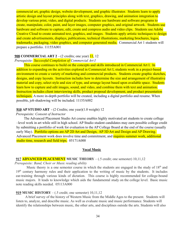commercial art, graphic design, website development, and graphic illustrator. Students learn to apply artistic design and layout principles along with text, graphics, drawing, and animation integration to develop various print, video, and digital products. Students use hardware and software programs to create, manipulate, color, paint, and layer images, computer graphics, and original artwork. Students use hardware and software to capture, edit, create and compress audio and video clips. Students use Adobe Creative Cloud to create animated text, graphics, and images. Students apply artistic techniques to design and create advertisements, displays, publications, technical illustrations, marketing brochures, logos, trademarks, packaging, video graphics, and computer generated media. Commercial Art 1 students will prepare a portfolio. 11155A001

#### **908 COMMERCIAL ART 2** - (2 credits; one year) 11, 12

#### *Prerequisite: Successful Completion of Commercial Art I*

This course continues to build on the concepts and skills introduced in Commercial Art I. In addition to expanding on the activities explored in Commercial Art I, students work in a project-based environment to create a variety of marketing and commercial products. Students create graphic sketches, designs, and copy layouts. Instruction includes how to determine the size and arrangement of illustrative material and copy, select style and size of type, and arrange layout based upon available space. Students learn how to capture and edit images, sound, and video, and combine them with text and animation. Instruction includes client interviewing skills, product proposal development, and product presentation techniques. A more in-depth portfolio will be created, including a digital portfolio and resume. When possible, job shadowing will be included. 11155A002

#### **910 AP STUDIO ART** - (2 Credits; one year)(1.0 weight) 12

#### *Prerequisite: Consent of Instructor*

The Advanced Placement Studio Art course enables highly motivated art students to create college –level work in art while still in high school. AP Studio student candidates may earn possible college credit by submitting a portfolio of work for evaluation to the AP College Board at the end of the course (usually early May). Portfolio options are AP 2D Art and Design, AP 3D Art and Design and AP Drawing. Advanced Placement work does involve time and commitment, and requires summer work, additional studio time, research and field trips. 05171A000

#### **Vocal Music**

#### **917 ADVANCED PLACEMENT MUSIC THEORY** – (.5 credit; one semester) 10,11,12

#### *Prerequisite: Band, Choir or Music reading ability*

Music theory is a one semester course in which the students are engaged in the study of  $18<sup>th</sup>$  and 19<sup>th</sup> century harmony rules and their application to the writing of music by the students. It includes ear-training through various kinds of dictation. This course is highly recommended for college-bound music majors. It leads to knowledge which aids the fundamental study on the college level. Basic music note reading skills needed. 05113A000

#### **919 MUSIC HISTORY** – (.5 credit; one semester) 10,11,12

A brief survey of the history of Western Music from the Middle Ages to the present. Students will listen to, analyze, and describe music. As well as evaluate music and music performance. Students will identify the relationships between music, the other arts, and disciplines outside the arts. Students will also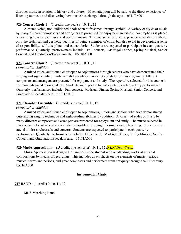discover music in relation to history and culture. Much attention will be paid to the direct experience of listening to music and discovering how music has changed through the ages. 05117A001

#### **926 Concert Choir 1** – (1 credit; one year) 9, 10, 11, 12

A mixed voice, non-auditioned choir open to freshmen through seniors. A variety of styles of music by many different composers and arrangers are presented for enjoyment and study. An emphasis is placed on learning how to read music and perform music. This course is designed to provide all students with not only the technical and aesthetic qualities of being a member of choir, but also to aid in developing a sense of responsibility, self-discipline, and camaraderie. Students are expected to participate in each quarterly performance. Quarterly performances include: Fall concert, Madrigal Dinner, Spring Musical, Senior Concert, and Graduation/Baccalaureate. 05110A000

#### **923 Concert Choir 2** – (1 credit; one year) 9, 10, 11, 12

#### *Prerequisite: Audition*

A mixed voice, auditioned choir open to sophomores through seniors who have demonstrated their singing and sight-reading fundamentals by audition. A variety of styles of music by many different composers and arrangers are presented for enjoyment and study. The repertoire selected for this course is for more advanced choir students. Students are expected to participate in each quarterly performance. Quarterly performances include: Fall concert, Madrigal Dinner, Spring Musical, Senior Concert, and Graduation/Baccalaureate. 05111A000

#### **921 Chamber Ensemble** – (1 credit; one year) 10, 11, 12

#### *Prerequisite: Audition*

A mixed voice, auditioned choir open to sophomores, juniors and seniors who have demonstrated outstanding singing technique and sight-reading abilities by audition. A variety of styles of music by many different composers and arrangers are presented for enjoyment and study. The music selected in this course is for advanced choir students capable of singing in a small ensemble setting. Students must attend all dress rehearsals and concerts. Students are expected to participate in each quarterly performance. Quarterly performances include: Fall concert, Madrigal Dinner, Spring Musical, Senior Concert, and Graduation/Baccalaureate. 05111A000

#### **920 Music Appreciation** – (.5 credit; one semester) 10, 11, 12 *(JALC Dual Credit)*

Music Appreciation is designed to familiarize the student with outstanding works of musical compositions by means of recordings. This includes an emphasis on the elements of music, various musical forms and periods, and great composers and performers from antiquity through the 21<sup>st</sup> century. 05116A000

#### **Instrumental Music**

#### **927 BAND** - (1 credit) 9, 10, 11, 12

MHS Marching Band: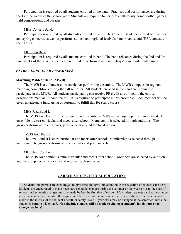Participation is required by all students enrolled in the band. Practices and performances are during the 1st nine weeks of the school year. Students are required to perform at all varsity home football games, field competitions, and parades.

#### MHS Concert Band:

Participation is required by all students enrolled in band. The Concert Band performs at both winter and spring concerts, as well as performs at local and regional festivals, honor bands, and IHSA contests. 05101A000

# MHS Pep Band:

Participation is required by all students enrolled in band. The band rehearses during the 2nd and 3rd nine weeks of the year. Students are required to perform at all varsity boys' home basketball games.

# *EXTRA CURRICULAR ENSEMBLES*

# **Marching Wildcat Band (MWB)**

The MWB is a volunteer extra-curricular performing ensemble. The MWB competes in regional marching competitions during the fall semester. All students enrolled in the band are required to participate in the MWB. All students participating can receive PE credit as outlined in the course descriptions manual. A band fee of \$100 is required to participate in this ensemble. Each member will be given an adequate fundraising opportunity to fulfill this fee (band cards).

# MHS Jazz Band I:

The MHS Jazz Band I is the premiere jazz ensemble at MHS and is largely performance based. The ensemble is extra-curricular and meets after school. Membership is selected through auditions. The group performs at jazz festivals, jazz concerts around the local region.

# MHS Jazz Band II:

The Jazz Band II is extra-curricular and meets after school. Membership is selected through auditions. The group performs at jazz festivals and jazz concerts.

# MHS Jazz Combo:

The MHS Jazz combo is extra-curricular and meets after school. Members are selected by audition and the group performs locally and regional each semester.

# **CAREER AND TECHNICAL EDUCATION**

Students and parents are encouraged to give time, thought, and attention to the selection of courses each year. Students are encouraged to make necessary schedule changes during the summer or the week prior to the start of school. All schedule changes must be made before the first day of school. If a student requests a schedule change after the start of the semester, the request will be denied unless unusual circumstances dictate that the change be made in the interest of the student's health or safety. No full year class may be changed at the semester unless the student is earning a D or an F. **No schedule changes will be made to change a student's lunch hour or to change teachers!**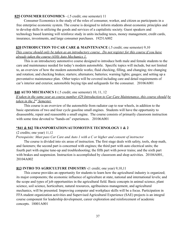#### **825 CONSUMER ECONOMICS** - (.5 credit; one semester) 11

Consumer Economics is the study of the roles of consumer, worker, and citizen as participants in a free enterprise economic system. The course is designed to inform students about economic principles and to develop skills in utilizing the goods and services of a capitalistic society. Guest speakers and technology based learning will reinforce study in units including taxes, money management, credit cards, insurance, investments, and large consumer purchases. 19251A002

#### **839 INTRODUCTION TO CAR CARE & MAINTENANCE** (.5 credit; one semester) 9,10

*This course should only be taken as an introductory course. Do not register for this course if you have already taken the course (430) Auto Mechanics 1.*

This is an introductory automotive course designed to introduce both male and female students to the care and maintenance needed for today's modern automobile. Specific topics will include, but not limited to, an overview of how the modern automobile works; fluid checking, filling, and changing; tire changing and rotation; and checking brakes; starters; alternators; batteries; warning lights; gauges; and setting up a preventative maintenance plan. Other topics will be covered including care and detail requirements of car's interior and exterior, automobile buying tips and safeguards for the consumer. 20106A001

#### **840 AUTO MECHANICS 1** (.5 credit; one semester) 10, 11, 12

*If taken in the same year as course number 429 Introduction to Car Care Maintenance, this course should be taken in the 2nd Semester.*

This course is an overview of the automobile from radiator cap to rear wheels, in addition to the basic operations of two and four cycle gasoline small engines. Students will have the opportunity to disassemble, repair and reassemble a small engine. The course consists of primarily classroom instruction with some time devoted to "hands-on" experiences. 20106A001

# **\*841 & 842 TRANSPORTATION/AUTOMOTIVE TECHNOLOGY 1 & 2**

#### (2 credits; one year) 11,12

*Prerequisite: Must pass Car Care and Auto 1 with a C or higher and consent of instructor*

The course is divided into six areas of instruction. The first stage deals with safety, tools, shop math, and fasteners; the second part is concerned with engines; the third part with auto electrical units; the fourth part with engine tune-up and troubleshooting; the fifth part with power trains; and the sixth part with brakes and suspension. Instruction is accomplished by classroom and shop activities. 20104A001, 20104A002

# **813 INTRO TO AGRICULTURE INDUSTRY**-(1 credit; one year) 9,10,11

This course provides an opportunity for students to learn how the agricultural industry is organized; its major components; the economic influence of agriculture at state, national and international levels; and the scope and types of job opportunities in the agricultural field. Basic concepts in animal science, plant science, soil science, horticulture, natural resources, agribusiness management, and agricultural mechanics, will be presented. Improving computer and workplace skills will be a focus. Participation in FFA student organization activities and Supervised Agricultural Experience (SAE) projects is an integral course component for leadership development, career exploration and reinforcement of academic concepts. 18001A001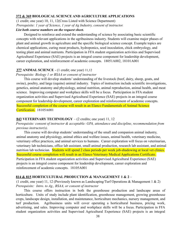#### **372 & 369 BIOLOGICAL SCIENCE AND AGRICULTURE APPLICATIONS**

(1 credit; one year) 10, 11, 12(Cross Listed with Science Department) *Prerequisite: 1 year of Science, 1 year of Ag Industry, consent of instructor.*

# *List both course numbers on the request sheet.*

Designed to reinforce and extend the understanding of science by associating basic scientific concepts with relevant applications in the agribusiness industry. Students will examine major phases of plant and animal growth in agriculture and the specific biological science concept. Example topics are chemical applications, curing meat products, hydroponics, seed inoculation, chick embryology, and testing plant and animal nutrients. Participation in FFA student organization activities and Supervised Agricultural Experience (SAE) projects is an integral course component for leadership development, career exploration, and reinforcement of academic concepts. 18051A002, 18101A001

#### **377 ANIMAL SCIENCE** - (1 credit; one year) 11,12

*Prerequisite: Biology 1 or BSAA or consent of instructor*

This course will develop students' understanding of the livestock (beef, dairy, sheep, goats, and swine), poultry, and large (equine) animal industry. Topics of instruction include scientific investigations, genetics, animal anatomy and physiology, animal nutrition, animal reproduction, animal health, and meat science. Improving computer and workplace skills will be a focus. Participation in FFA student organization activities and Supervised Agricultural Experience (SAE) projects in an integral course component for leadership development, career exploration and reinforcement of academic concepts. Successful completion of the course will result in an Elanco Fundamentals of Animal Science Certification. 18105A001

#### **843 VETERINARY TECHNOLOGY** – (2 credits; one year) 11, 12

*Prerequisite: consent of instructor & acceptable: GPA, attendance and discipline, recommendation from previous instructor(s).*

This course will develop students' understanding of the small and companion animal industry, animal anatomy and physiology, animal ethics and welfare issues, animal health, veterinary medicine, veterinary office practices, and animal services to humans. Career exploration will focus on veterinarian, veterinary lab technicians, office lab assistant, small animal production, research lab assistant, and animal nutrition lab technician. Students will spend 2 class periods per week job-shadowing at local vet clinics. Successful course completion will result in an Elanco Veterinary Medical Applications Certificate. Participation in FFA student organization activities and Supervised Agricultural Experience (SAE) projects is an integral course component for leadership development, career exploration and reinforcement of academic concepts. 18105A001

#### **814 & 815 HORTICULTURAL PRODUCTION & MANAGEMENT 1 & 2** –

(1 credit, one year) 11, 12 (Previously known as Landscaping/Turf Operations & Management 1 & 2) *Prerequisite: Intro. to Ag., BSAA, or consent of instructor*

This course offers instruction in both the greenhouse production and landscape areas of horticulture. Units of study include plant identification, greenhouse management, growing greenhouse crops, landscape design, installation, and maintenance, horticulture mechanics, nursery management, and turf production. Agribusiness units will cover operating a horticultural business, pricing work, advertising, and sales. Improving computer and workplace skills will be a focus. Participation in FFA student organization activities and Supervised Agricultural Experience (SAE) projects is an integral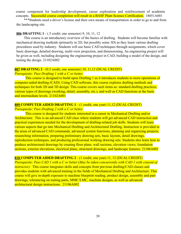course component for leadership development, career exploration and reinforcement of academic concepts. Successful course completion will result in a BASF Plant Science Certification. 18051A001

\*\*\*Students need a driver's license and their own means of transportation in order to go to and from the landscaping site.

#### **806 DRAFTING 1** - (.5 credit; one semester) 9, 10, 11, 12

This course is an introductory overview of the basics of drafting. Students will become familiar with mechanical drawing methods (primarily in 2D, but possibly some 3D) as they learn various drafting procedures used by industry. Students will use basic CAD techniques through assignments, which cover basic drawings, detailed drawing, multi-view projection, and dimensioning. An engineering project will be given as well, including designing the engineering project in CAD, building a model of the design, and testing the design. 21102A002

# **807 DRAFTING 2** - (0.5 credit; one semester) 10, 11,12 (DUAL CREDIT) *Prerequisite: Pass Drafting 1 with a C or better.*

This course is designed to build upon Drafting 1 as it introduces students to more operations of computer-aided drafting (CAD). Using CAD software, this course explores drafting methods and techniques for both 2D and 3D design. This course covers such items as: standard drafting practices, various types of drawings (working, detail, assembly, etc.), and well as CAD functions at the basic and intermediate levels. 21102A001

# **809 COMPUTER AIDED DRAFTING 1** - (1 credit; one year) 11,12 (DUAL CREDIT)

*Prerequisite: Pass Drafting 2 with a C or better.*

This course is designed for students interested in a career in Mechanical Drafting and/or Architecture. This is an advanced CAD class where students will get advanced CAD instruction and practical experiences needed for the development of drafting-related job skills. Students will learn various aspects that go into Mechanical Drafting and Architectural Drafting. Instruction is provided in the areas of advanced CAD commands, advanced system functions, planning and organizing projects, researching information, preparing preliminary drawing sets, basic layouts, detail drawings, reproduction techniques, and producing professional working drawing sets. Students also learn how to produce architectural drawings by creating floor plans, wall sections, elevation views, foundation sections, exterior elevations, electrical plans, structural drawings, and landscape features. 21106A001

#### **810 COMPUTER AIDED DRAFTING 2** - (1 credit; one year) 11, 12 (DUAL CREDIT)

*Prerequisite: Pass CAD 1 with a C or better* (*May be taken concurrently with CAD 1 with consent of instructor*). This course integrates skills and concepts from previous drafting/CAD classes and provides students with advanced training in the fields of Mechanical Drafting and Architecture. This course will give in-depth exposure to machine blueprint reading, product design, assembly and part drawings, tolerancing on mating parts, MMC/LMC, machine designs, as well as advanced architectural design instructions. 21106A002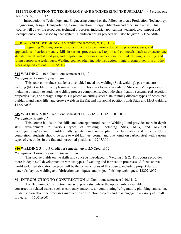#### **812 INTRODUCTION TO TECHNOLOGY AND ENGINEERING (INDUSTRIAL)** – (.5 credit; one semester) 9, 10, 11, 12

Introduction to Technology and Engineering comprises the following areas: Production, Technology, Engineering Design, Transportation, Communication, Energy Utilization and other such areas. This course will cover the resources, technical processes, industrial applications, technological impact and occupations encompassed by that system. Hands-on design projects will also be given. 21052A002

# **BEGINNING WELDING -** (.5 credit; one semester) 9, 10, 11, 12

Beginning Welding course enables students to gain knowledge of the properties, uses, and applications of various metals, skills in various processes used to join and cut metals (such as oxyacetylene, shielded metal, metal inert gas, and tungsten arc processes), and experience in identifying, selecting, and rating appropriate techniques. Welding courses often include instruction in interpreting blueprints or other types of specifications. 13207A003

# **844 WELDING 1**- (0.5 Credit; one semester) 11, 12

# *Prerequisite: Consent of Instructor*

This course introduces students to shielded metal arc welding (Stick welding), gas metal arc welding (MIG welding), and plasma arc cutting. This class focuses heavily on Stick and MIG processes, including attention to studying welding process components, electrode classification systems, rod selection, properties, use, and storage. Emphasis is placed on cutting steel plate, running different types of beads, pad buildups, and basic fillet and groove welds in the flat and horizontal positions with Stick and MIG welding. 13207A003

# **845 WELDING 2**- (0.5 Credit; one semester) 11, 12 (JALC DUAL CREDIT)

# *Prerequisite: Welding 1*

This course builds on the skills and concepts introduced in Welding I and provides more in-depth skill development in various types of welding, including Stick, MIG, and oxy-fuel welding/cutting/brazing. Additionally, greater emphasis is placed on fabrication and projects. Upon completion, students should be able to weld lap, tee, corner, and butt joints on carbon steel with various types of electrodes in the flat and horizontal positions. 13207A001

# **846 WELDING 3** – (0.5 Credit per semester, up to 2.0 Credits) 12

# *Prerequisite: Consent of Instructor Required*

This course builds on the skills and concepts introduced in Welding 1 & 2. This course provides more in depth skill development in various types of welding and fabrication processes. A focus on real world welding/fabrication projects will be the primary focus of this course, including project design, materials, layout, welding and fabrication techniques, and project finishing techniques. 13207A002

# **801 INTRODUCTION TO CONSTRUCTION** (.5 Credit; one semester) 9,10,11,12

The Beginning Construction course exposes students to the opportunities available in construction-related trades, such as carpentry, masonry, air conditioning/refrigeration, plumbing, and so on. Students learn about the processes involved in construction projects and may engage in a variety of small projects. 17001A001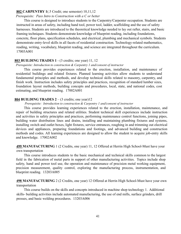#### **802 CARPENTRY 1**(.5 Credit; one semester) 10,11,12

#### *Prerequisite: Pass Intro to Construction with a C or better*

This course is designed to introduce students to the Carpentry/Carpenter occupation. Students are instructed in areas of safety, including hand tool, power tool, ladder, scaffolding and the use of safety harnesses. Students are introduced to the theoretical knowledge needed to lay out rafter, stairs, and basic framing techniques. Students demonstrate knowledge of blueprint reading, including foundations, concrete, floor plans, specification schedules, and electrical, plumbing and mechanical symbols. Students demonstrate entry-level skills in all facets of residential construction. Technology-related mathematics, reading, writing, vocabulary, blueprint reading, and science are integrated throughout the curriculum. 17003A001

#### **803 BUILDING TRADES 1** - (3 credits; one year) 11, 12

#### *Prerequisite: Introduction to construction & Carpentry 1 and/consent of instructor*

This course provides experiences related to the erection, installation, and maintenance of residential buildings and related fixtures. Planned learning activities allow students to understand fundamental principles and methods, and develop technical skills related to masonry, carpentry, and finish work. Instruction includes safety principles and practices, recognition of standard lumber sizes, foundation layout methods, building concepts and procedures, local, state, and national codes, cost estimating, and blueprint reading. 17002A001

#### **804 BUILDING TRADES 2** – (3 credits; one year)12

#### *Prerequisite: Introduction to construction & Carpentry 1 and/consent of instructor*

This course provides learning experiences related to the erection, installation, maintenance, and repair of building structures and related utilities. Student technical skill experiences include instruction and activities in safety principles and practices, performing maintenance control functions, joining pipes, building water distribution lines and drains, installing and maintaining plumbing fixtures and systems, installing switch and outlet boxes, light fixtures, service entrances, roughing in and trimming out electrical devices and appliances, preparing foundations and footings, and advanced building and construction methods and codes. All learning experiences are designed to allow the student to acquire job-entry skills and knowledge. 17002A002

**499 MANUFACTURING** 1 (2 Credits, one year) 11, 12 Offered at Herrin High School-Must have your own transportation

This course introduces students to the basic mechanical and technical skills common to the largest field in the fabrication of metal parts in support of other manufacturing activities. Topics include shop safety, hand and power tool use, the operation and maintenance of precision metal working equipment, precision measurement, quality control, exploring the manufacturing process, instrumentation, and blueprint reading. 13203A005

**498 MANUFACTURING** 2 (2 Credits, one year) 12 Offered at Herrin High School-Must have your own transportation

This course builds on the skills and concepts introduced in machine shop technology 1. Additional skills- building activities include automated manufacturing, the use of end mills, surface grinders, drill presses, and basic welding procedures. 13203A006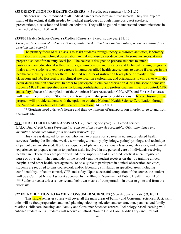#### **838 ORIENTATION TO HEALTH CAREERS** - (.5 credit; one semester) 9,10,11,12

Students will be introduced to all medical careers to determine future interest. They will explore many of the technical skills needed by medical employees through numerous guest speakers, presentations, discussions and hands-on activities. They will be guided to understand communications in the medical field. 14001A001

#### **835/836 Health Science Careers (Medical Careers)** (2 credits; one year) 11, 12

*Prerequisite: consent of instructor & acceptable: GPA, attendance and discipline, recommendation from previous instructor(s)*

The primary focus of this class is to assist students through theory, classroom activities, laboratory simulation, and actual clinical observation, in making wise career decisions. In some instances, it may prepare a student for an entry-level job. The course is designed to prepare students to enter a post-secondary educational setting in colleges, universities, and/or career and technical training programs. It also allows students to explore careers in numerous allied health care settings to decide if a career in the healthcare industry is right for them. The first semester of instruction takes place primarily in the classroom and lab. Hospital tours, clinical site location exploration, and orientations to cinic sites will also occur during the first semester. In order to participate in clinical observation during the second semester, students MUST pass specified areas including confidentiality and professionalism, infection control, CPR, and safety. Successful completion of the American Heart Association CPR, AED, and First Aid courses will result in certification. Stop the bleed training will also provide certifications. The conclusion of this program will provide students with the option to obtain a National Health Science Certification through the National Consortium of Health Science Education. 14102A001

\*\*\*Students need a driver's license and their own means of transportation in order to go to and from the work site.

#### **\*837 CERTIFIED NURSING ASSISTANT** - (3 credits; one year) 12; 1 credit science

(JALC Dual Credit Class) *Prerequisite: consent of instructor & acceptable: GPA, attendance and discipline, recommendation from previous instructor(s)*

This class is designed for seniors who wish to prepare for a career in nursing or related health services. During the first nine weeks, terminology, anatomy, physiology, pathophysiology, and techniques of patient care are stressed. It offers a sequence of planned educational classroom, laboratory, and clinical experiences to prepare a person to perform tasks involved in the personal care of individuals receiving health care. These tasks are performed under the supervision of a licensed practical nurse, registered nurse or physician. The remainder of the school year, the student receives on-the-job training at local hospitals and other health care agencies. To be eligible to participate in clinical observation activities, students are required to pass coursework and/or laboratory simulation in specified areas including confidentiality, infection control, CPR and safety. Upon successful completion of the course, the student will be a Certified Nurse Assistant approved by the Illinois Department of Public Health. 14051A001 \*\*\*Students need a driver's license and their own means of transportation in order to go to and from the work site.

**827 INTRODUCTION TO FAMILY CONSUMER SCIENCES** (.5 credit; one semester) 9, 10, 11 This single semester course will cover all the main areas of Family and Consumer Sciences. Basic skill units will be food preparation and meal planning, clothing selection and construction, personal and family relations, childcare, housing, and Family and Consumer Sciences careers. Technology-based learning will enhance student skills. Students will receive an introduction to Child Care (Kiddie City) and ProStart.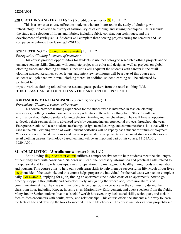# **828 CLOTHING AND TEXTILES 1** - (.5 credit; one semester) 9, 10, 11, 12

This is a semester course offered to students who are interested in the study of clothing. An introductory unit covers the history of fashion, styles of clothing, and sewing techniques. Units include the study and selection of fibers and fabrics, including fabric construction techniques, and the development of sewing skills. Students will complete three sewing projects during the semester and use computers to enhance their learning.19201A001

# **829 CLOTHING 2** - (.5 credit; one semester) 10, 11, 12

#### *Prerequisite: Clothing I, consent of instructor*

This course provides opportunities for students to use technology to research clothing projects and to enhance sewing skills. Students will complete projects on color and design as well as projects on global clothing trends and clothing cultures. Other units will acquaint the students with careers in the retail clothing market. Resumes, cover letters, and interview techniques will be a part of this course and students will job-shadow in retail clothing stores. In addition, student learning will be enhanced by pertinent field

trips to various clothing related businesses and guest speakers from the retail clothing field. THIS CLASS CAN BE COUNTED AS A FINE ARTS CREDIT. 19203A001

# **830 FASHION MERCHANDISING** - (2 credits; one year) 11, 12

#### *Prerequisite: Clothing I, consent of instructor*

This course provides learning experiences for the student who is interested in fashion, clothing accessories, clothing construction, and work opportunities in the retail clothing field. Students will gain information about fashion, styles, clothing selection, textiles, and merchandising. They will have an opportunity to develop their sewing skills to advanced levels by constructing entrepreneurial projects throughout the year. Entrepreneur units will teach students marketing, design, manufacturing, and communications skills that will be used in the retail clothing world of work. Student portfolios will be kept by each student for future employment. Work experience in local businesses and business partnership arrangements will acquaint students with various retail clothing careers. Technology based learning will be an important part of this course. 12153A001, 19204A001

# **821 ADULT LIVING - (.5 credit; one semester)** 9, 10, 11,12

Adult Living single semester course utilizes a comprehensive text to help students meet the challenges of their daily lives with confidence. Students will learn the necessary information and practical skills related to interpersonal and family relationships, career preparation, life management, healthy living, foods and nutrition, and housing. This course aims to help our youth learn skills to help them be successful in life. Much of our lives occur outside of the textbook, and this course helps prepare the individual for the real tasks we need to complete daily. For example, applying for a job, finding an apartment (the hidden costs of an apartment), how to go grocery shopping thoughtfully and cost-effectively, navigating the workplace, professionalism, and communication skills. The class will include outside classroom experience in the community during the classroom hour, including Kroger, housing sites, Marion Law Enforcement, and guest speakers from the fields. Many Junior-Senior students live in a "social" world; however, they lack social skills, techniques, and tack in face-to-face encounters with adults, work, and relationships. This course offers the students a fun way to learn the facts of life and develop the tools to succeed in their life choices. The course includes various project-based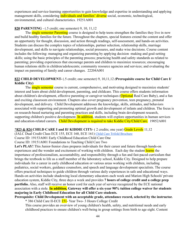experiences and service-learning opportunities to gain knowledge and expertise in understanding and applying management skills, considering **individuals and families' diverse** social, economic, technological, environmental, and cultural characteristics. 19251A001

# **820 PARENTING** - (.5 credit; one semester) 9, 10, 11,12

The single semester Parenting course is designed to help teens strengthen the families they live in now and build healthy families for the future. Throughout the chapters, special features extend the content and offer an opportunity for thought, discussion, and action through readings, self-assessment, and hands-on activities. Students can discuss the complex topics of relationships, partner selection, relationship skills, marriage development, and skills to navigate relationships, social pressures, and make wise decisions. Course content includes the following: managing and organizing parenting by applying decision -making and goal-setting skills; using the basic principles of the parenting process; practicing health and safety standards as related to parenting; providing experiences that encourage parents and children to maximize resources; encouraging human relations skills in children/adolescents; community resource agencies and services; and evaluating the impact on parenting of family and career changes. 22204A001

# **822 CHILD DEVELOPMENT-** (.5 credit; one semester) 9, 10,11,12 *(***Prerequisite course for Child Care I/ Kiddie City)**

The single semester course is current, comprehensive, and motivating designed to maximize students' interest and learn about child development, parenting, and childcare. This course offers students information about children's development, effective parenting or caregiver techniques (**Optional** Real Care Baby), and a fun and exciting classroom environment. Chapters also cover pregnancy prevention, teen pregnancy, prenatal development, and delivery. Child Development addresses the knowledge, skills, attitudes, and behaviors associated with supporting and promoting optimal growth and development of infants and children. The focus is on research-based nurturing and parenting practices and skills, including brain development research, supporting children's positive development. In addition, students will explore opportunities in human services and education-related careers. Child Development is required to take Kiddie City/Child Care. 19052A001

#### \***823 & 824 CHILD CARE I and II/ KIDDIE CITY-** ( 2 credits; one year) Grade Levels 11,12

(JALC Dual Credit Class ECE 155, ECE 160, ECE 161) Child Care Trifold [Brochure](https://drive.google.com/file/d/1Ew-hXyuwiTn6_gITQl8i-FpzqWqgZgnM/view?usp=sharing)

Course ID: 19153A001 Early Childhood Education Child Care One

Course ID: 19151A001 Foundations to Teaching Child Care Two

**Let's PLAY!** This Junior-Senior class prepares individuals for their career and future through hands-on experiences and the wonder and excitement of working with children. Each day the student learns the importance of professionalism, accountability, and responsibility through a fun and fast-paced curriculum that brings the textbook to life as a staff member of the laboratory school, Kiddie City. Designed to help prepare individuals for a career in early childhood education or various areas working with children, including pediatrics, social workers, guidance counselors, and speech and language development specialists. The course offers practical techniques to guide children through various daily experiences in safe and educational ways. Hands-on activities include shadowing local elementary educators each week and Marion High Schools' private education system, Kiddie City, three days a week and provides **7 hours of college credit and a college prep portfolio.** Also, staff will receive an honor cord for each year of service recognized by the ECE national association with a stole. **In addition, Gateway will offer a six-year 90% tuition college waiver for students majoring in Early Childhood Education for all Child Care students.**

#### **Prerequisite: Child Development with an acceptable grade, attendance record, selected by the instructor.** \* 386 Child Care II-ECE 151- Year Two- 3 Hours College Credit

This course provides an overview of young children's health, safety, and nutritional needs and early childhood practices to ensure children's well-being in group settings from birth to age eight. Content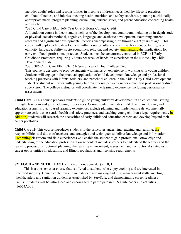includes adults' roles and responsibilities in meeting children's needs, healthy lifestyle practices, childhood illnesses, and injuries, meeting health, nutrition, and safety standards, planning nutritionally appropriate meals, program planning, curriculum, current issues, and parent education concerning health and safety.

\*385 Child Care I- ECE 160- Year One- 3 Hours College Credit

A foundation course in theory and principles of the development continuum, including an in-depth study of physical, social/emotional, cognitive, language, and aesthetic development, examining current research and significant developmental theories encompassing birth through eight years of age. This course will explore child development within a socio-cultural context, such as gender, family, race, ethnicity, language, ability, socio-economics, religion, and society, **emphasizing** the implications for early childhood professional practice. Students must be concurrently enrolled in ECE 161 Early Childhood Practicum, requiring 3 hours per week of hands-on experience in the Kiddie City Child Development Lab.

\*385/ 386 Child Care I/II- ECE 161- Senior Year- 1 Hour College Credit

This course is designed to provide students with hands-on experience in working with young children. Students will engage in the practical application of child development knowledge and professional teaching practices with infants, toddlers, and preschool children in the Kiddie City Child Development Lab. The student will work with young children 2 hours per week under a qualified professional's direct supervision. The college instructor will coordinate the learning experience, including performance assessments.

**Child Care I-** This course prepares students to guide young children's development in an educational setting through classroom and job shadowing experiences. Course content includes child development, care, and education issues. Project-based learning experiences include planning and implementing developmentally appropriate activities, essential health and safety practices, and teaching young children's legal requirements. In addition, students will research the necessities of early childhood education careers and develop/expand their career portfolios.

**Child Care II-** This course introduces students to the principles underlying teaching and learning, the responsibilities and duties of teachers, and strategies and techniques to deliver knowledge and information. Combining classroom and field experiences will enable the student to gain professional knowledge and understanding of the education profession. Course content includes projects to understand the learner and the learning process, instructional planning, the learning environment, assessment and instructional strategies, career opportunities in education, and Illinois regulations and licensing requirements.

# **821 FOOD AND NUTRITION 1** - (.5 credit; one semester) 9, 10, 11

This is a one semester course that is offered to students who enjoy cooking and are interested in the food industry. Course content would include decision making and time management skills, meeting health, safety and sanitation guidelines established by ServSafe, and demonstrating career readiness skills. Students will be introduced and encouraged to participate in FCS Club leadership activities. 16054A001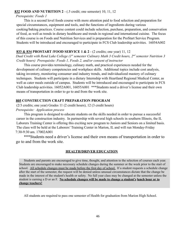#### **832 FOOD AND NUTRITION 2** - (.5 credit; one semester) 10, 11, 12

#### *Prerequisite: Foods 1*

This is a second level foods course with more attention paid to food selection and preparation for special circumstances, equipment and tools, and the functions of ingredients during various cooking/baking practices. Course content could include selection, purchase, preparation, and conservation of food, as well as trends in dietary healthcare and trends in regional and international cuisine. The focus of this course is on Foods and Nutrition Services and is preparation for the ProStart Service Program. Students will be introduced and encouraged to participate in FCS Club leadership activities. 16054A002

#### **833 & 834 PROSTART /FOOD SERVICE 1 & 2** - (2 credits; one year) 11, 12

*Dual Credit with Rend Lake College (1st semester Culinary Math 3 Credit hours, 2nd semester Nutrition 3 Credit hours) Prerequisite: Foods 1, Foods 2, and/or consent of instructor*

This course provides terminology, culinary math, and practical experiences needed for the development of culinary competencies and workplace skills. Additional topics include cost analysis, taking inventory, monitoring consumer and industry trends, and individualized mastery of culinary techniques. Students will participate in a dietary Internship with Heartland Regional Medical Center, as well as cater meals outside of campus. Students will be introduced and encouraged to participate in FCS Club leadership activities. 16052A001, 16055A001 \*\*\*Students need a driver's license and their own means of transportation in order to go to and from the work site.

#### **805 CONSTRUCTION CRAFT PREPARATION PROGRAM**

(2/3 credits; one year) Grades 11 (2 credit hours), 12 (3 credit hours) *Prerequisite: Application process*

This program is designed to educate students on the skills needed in order to pursue a successful career in the construction industry. In partnership with several high schools in southern Illinois, the IL Laborers Training Center is offering this exciting new program to Juniors and Seniors on a limited basis. The class will be held at the Laborers' Training Center in Marion, IL and will run Monday-Friday 7:30-9:30 am. 17002A001

\*\*\*Students need a driver's license and their own means of transportation in order to go to and from the work site.

#### **HEALTH/DRIVER EDUCATION**

Students and parents are encouraged to give time, thought, and attention to the selection of courses each year. Students are encouraged to make necessary schedule changes during the summer or the week prior to the start of school. All schedule changes must be made before the first day of school. If a student requests a schedule change after the start of the semester, the request will be denied unless unusual circumstances dictate that the change be made in the interest of the student's health or safety. No full year class may be changed at the semester unless the student is earning a D or an F. **No schedule changes will be made to change a student's lunch hour or to change teachers!**

All students are required to pass one semester of Health for graduation from Marion High School.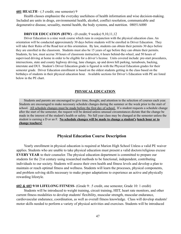#### **601 HEALTH** - (.5 credit; one semester) 9

Health classes emphasize the everyday usefulness of health information and wise decision-making. Included are units in drugs, environmental health, alcohol, conflict resolution, communicable and degenerative disease, sexuality, mental health, the body systems, and nutrition. 08051A000

#### **DRIVER EDUCATION (BTW)** - (0 credit; 9 weeks) 9,10,11,12

Driver Education is a nine week course which runs in conjunction with the physical education class. An orientation will be conducted approximately 30 days before students will be enrolled in Driver Education. They will take their Rules of the Road test at this orientation. By law, students can obtain their permits 30 days before they are enrolled in the classroom. Students must also be 15 years of age before they can obtain their permits. Students, by law, must accrue 30 hours of classroom instruction, 6 hours behind-the-wheel, and 50 hours of supervised driving at home in order to be eligible for a driver's license. Units covered include: pre-start procedures, intersections, state and county highway driving, lane changes, up and down hill parking, turnabouts, backing, interstate and DUI. Student's Driver Education grade is figured in with the Physical Education grades for their semester grade. Driver Education enrollment is based on the oldest students getting in the class based on the birthdays of students in their physical education hour. Available sections for Driver's Education with PE are listed below in the PE chart.

#### **PHYSICAL EDUCATION**

Students and parents are encouraged to give time, thought, and attention to the selection of courses each year. Students are encouraged to make necessary schedule changes during the summer or the week prior to the start of school. All schedule changes must be made before the first day of school. If a student requests a schedule change after the start of the semester, the request will be denied unless unusual circumstances dictate that the change be made in the interest of the student's health or safety. No full year class may be changed at the semester unless the student is earning a D or an F. **No schedule changes will be made to change a student's lunch hour or to change teachers!**

# **Physical Education Course Description**

Yearly enrollment in physical education is required at Marion High School Unless a valid PE waiver applies. Students who are unable to take physical education must present a valid doctors/religious excuse **EVERY YEAR** to their counselor. The physical education department is committed to prepare our students for the 21st century using researched methods to be functional, independent, contributing individuals to our society. Students will assess their own health and fitness levels and develop a plan to maintain or reach optimal fitness and wellness. Students will learn the processes, physical components, and problem solving skills necessary to make proper adaptations to experience an active and physically rewarding lifestyle.

**602 & 603 9/10 LIFELONG FITNESS**- (Grade 9: .5 credit, one semester, Grade 10: 1 credit)

Students will be introduced to weight training, circuit training, HIIT, heart rate monitors, and other current fitness modalities to develop students' flexibility, muscular strength, muscular endurance, cardiovascular endurance, coordination, as well as overall fitness knowledge. Class will develop students' motor skills needed to perform a variety of physical activities and exercises. Students will be introduced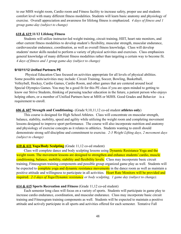to our MHS weight room, Cardio room and Fitness facility to increase safety, proper use and students comfort level with many different fitness modalities. Students will learn basic anatomy and physiology of exercise. Overall appreciation and awareness for lifelong fitness is emphasized. *4 days of fitness and 1 group game-day (subject to change)*

### **618 & 619 11/12 Lifelong Fitness**

Students will utilize instructor-led weight training, circuit training, HIIT, heart rate monitors, and other current fitness modalities to develop student's flexibility, muscular strength, muscular endurance, cardiovascular endurance, coordination, as well as overall fitness knowledge. Class will develop students' motor skills needed to perform a variety of physical activities and exercises. Class emphasizes general knowledge of many different fitness modalities rather than targeting a certain way to become fit. *4 days of fitness and 1 group game-day (subject to change)*

#### **9/10/11/12 Unified Partners PE**

Physical Education Class focused on activities appropriate for all levels of physical abilities. Some possible units/activities may include: Circuit Training, Soccer, Bowling, Basketball, Volleyball, Hockey, Cardio Games, Cardio Room, and other games that are centered around local Special Olympics Games. You may be a good fit for this PE class if you are open minded to getting to know our Strive Students, thinking of pursuing teacher education in the future, a patient person who enjoys helping others, or a member of Unified Partners here at MHS or MJHS. Good Grades and Behavior is a requirement to enroll.

#### **606 & 607 Strength and Conditioning**- (Grade 9,10,11,12 co-ed student **athletes only**)

This course is designed for High School Athletes. Class will concentrate on muscular strength, balance, stability, mobility, speed and agility while utilizing the weight room and completing movement lessons designed to improve sport performance. The course will also incorporate nutrition and anatomy and physiology of exercise concepts as it relates to athletics. Students wanting to enroll should demonstrate strong self-discipline and commitment to exercise. *2-3 Weight Lifting days, 2 movement days (subject to change)*

#### **610 & 611 Yoga/Body Sculpting** (Grade 11,12 co-ed student)

Class will complete dance and body sculpting lessons using Dynamic Resistance Yoga and the weight room. The movement lessons are designed to strengthen and enhance students' cardio, muscle conditioning, balance, mobility, stability and flexibility levels. Class may incorporate basic circuit training, Fitnessgram training components and possible group organized game play as well. Students will be expected to **complete yoga and dynamic resistance movements** in the dance room as well as maintain a positive attitude and willingness to participate in all activities. Heart Rate Monitors will be provided and required. *2-3 days of Yoga/Dynamic resistance or body sculpting, 1 game day (subject to change).*

#### **614 & 615 Sports Recreation and Fitness** (Grade 11,12 co-ed student)

Each semester long class will focus on a variety of sports. Students will participate in game play to increase cardio endurance, coordination, and muscular endurance. Class may incorporate basic circuit training and Fitnessgram training components as well. Students will be expected to maintain a positive attitude and actively participate in all sports and activities offered for each semester. Tentative Fall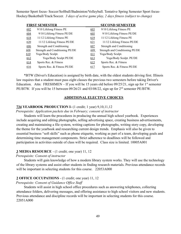Semester Sport focus- Soccer/Softball/Badminton/Volleyball. Tentative Spring Semester Sport focus-Hockey/Basketball/Track/Soccer. *3 days of active game play, 2 days fitness (subject to change)*

|     | <b>FIRST SEMESTER</b>           |     | <b>SECOND SEMESTER</b>          |
|-----|---------------------------------|-----|---------------------------------|
| 602 | 9/10 Lifelong Fitness PE        | 603 | 9/10 Lifelong Fitness PE        |
| 604 | 9/10 Lifelong Fitness PE/DE     | 605 | 9/10 Lifelong Fitness PE/DE     |
| 618 | 11/12 Lifelong Fitness PE       | 619 | 11/12 Lifelong Fitness PE       |
| 620 | 11/12 Lifelong Fitness PE/DE    | 621 | 11/12 Lifelong Fitness PE/DE    |
| 606 | Strength and Conditioning       | 607 | Strength and Conditioning       |
| 608 | Strength and Conditioning PE/DE | 609 | Strength and Conditioning PE/DE |
| 610 | Yoga/Body Sculpt.               | 611 | Yoga/Body Sculpt.               |
| 612 | Yoga/Body Sculpt PE/DE          | 613 | Yoga/Body Sculpt. PE/DE         |
| 614 | Sports Rec. & Fitness           | 615 | Sports Rec. & Fitness           |
| 616 | Sports Rec. & Fitness PE/DE     | 617 | Sports Rec. & Fitness PE/DE     |

\*BTW (Driver's Education) is assigned by birth date, with the oldest students driving first. Illinois law requires that a student must pass eight classes the previous two semesters before taking Driver's Education. Attn: FRESHMEN – If you will be 15 years old before  $09/25/21$ , sign up for 1<sup>st</sup> semester PE/BTW. If you will be 15 between 09/26/21 and 03/08/22, sign up for 2<sup>nd</sup> semester PE/BTW.

#### **ADDITIONAL ELECTIVE CHOICES**

#### **734 YEARBOOK PRODUCTION I-** (1 credit; 1 year) 9,10,11,12

*Prerequisite: Application packets due in February; consent of instructor*

Students will learn the procedures in producing the annual high school yearbook. Experiences include acquiring and editing photographs, selling advertising space, creating business advertisements, creating and maintaining a file system, writing captions for photographs, writing story copy, developing the theme for the yearbook and researching current design trends. Emphasis will also be given to essential business "soft skills" such as phone etiquette, working as part of a team, developing goals and determining time management components. Strict adherence to deadlines will be followed and participation in activities outside of class will be required. Class size is limited. 10005A001

#### **3 MEDIA RESOURCE** - (1 credit; one year) 11, 12

#### *Prerequisite: Consent of instructor*

Students will gain knowledge of how a modern library system works. They will use the technology of the library systems and assist other students in finding research materials. Previous attendance records will be important in selecting students for this course. 22053A000

#### **2 OFFICE OCCUPATIONS** - (1 credit; one year) 11, 12

*Prerequisite: Consent of Guidance Office Staff*

Students will assist in high school office procedures such as answering telephones, collecting attendance folders, delivering messages, and offering assistance to high school visitors and new students. Previous attendance and discipline records will be important in selecting students for this course. 22051A000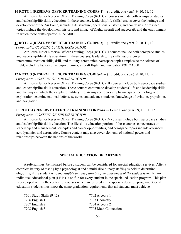#### **10 ROTC 1 (RESERVE OFFICER TRAINING CORPS-1)** – (1 credit; one year) 9, 10, 11, 12

Air Force Junior Reserve Officer Training Corps (ROTC) I courses include both aerospace studies and leadership/life skills education. In these courses, leadership/life skills lessons cover the heritage and development of the Air Force, including its structure, operations, customs, and courtesies. Aerospace topics include the development, history, and impact of flight; aircraft and spacecraft; and the environment in which these crafts operate.09151A000

#### **11 ROTC 2 (RESERVE OFFICER TRAINING CORPS-2)** – (1 credit; one year) 9, 10, 11, 12

#### *Prerequisite: CONSENT OF THE INSTRUCTOR*

Air Force Junior Reserve Officer Training Corps (ROTC) II courses include both aerospace studies and leadership/life skills education. In these courses, leadership/life skills lessons cover intercommunication skills, drill, and military ceremonies. Aerospace topics emphasize the science of flight, including factors of aerospace power, aircraft flight, and navigation.09152A000

#### **12 ROTC 3 (RESERVE OFFICER TRAINING CORPS-3)** – (1 credit; one year) 9, 10, 11, 12

#### *Prerequisite: CONSENT OF THE INSTRUCTOR*

Air Force Junior Reserve Officer Training Corps (ROTC) III courses include both aerospace studies and leadership/life skills education. These courses continue to develop students' life and leadership skills and the ways in which they apply to military life. Aerospace topics emphasize space technology and exploration; examine national defense systems; and advance students' knowledge of aviation, propulsion, and navigation.

#### **13 ROTC 4 (RESERVE OFFICER TRAINING CORPS-4)** – (1 credit; one year) 9, 10, 11, 12

#### *Prerequisite: CONSENT OF THE INSTRUCTOR*

Air Force Junior Reserve Officer Training Corps (ROTC) IV courses include both aerospace studies and leadership/life skills education. The life skills education portion of these courses concentrates on leadership and management principles and career opportunities, and aerospace topics include advanced aerodynamics and aeronautics. Course content may also cover elements of national power and relationships between the nations of the world.

#### **SPECIAL EDUCATION DEPARTMENT**

A referral must be initiated before a student can be considered for special education services. After a complete battery of testing by a psychologist and a multi-disciplinary staffing is held to determine eligibility, if the student is found *eligible and the parents agree, placement of the student is made.* An individual educational plan (I.E.P.) is on file for every student in the special education program. This plan is developed within the context of courses which are offered in the special education program. Special education students must meet the same graduation requirements that all students must achieve.

| 7701 Study Skills (9-12) | 7702 Algebra 1        |
|--------------------------|-----------------------|
| 7706 English 1           | 7703 Geometry         |
| 7707 English 2           | 7704 Algebra 2        |
| 7708 English 3           | 7705 Math Connections |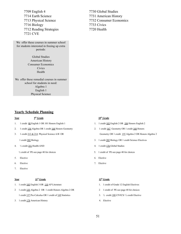7709 English 4 7730 Global Studies 7714 Earth Science 7731 American History 7716 Biology 7733 Civics 7712 Reading Strategies 7720 Health 7721 CVE

We offer these courses in summer school for students interested in freeing up extra periods:

> Global Studies American History Consumer Economics **Civics** Health

We offer these remedial courses in summer school for students in need: Algebra 1 English 1 Physical Science

#### **Yearly Schedule Planning**

#### **Year 9**

- $2<sup>th</sup>$  **Grade** 1. 1 credit 00 English 1 OR 101 Honors English 1 1. 1 credit 103 English 2 OR 104 Honors English 2
- 2. 1 credit 154 Algebra OR 1 credit 168 Honors Geometry 2. 1 credit 167 Geometry OR 1 credit 168 Honors
- 

- 
- 6. Elective 7. Elective
- 7. Elective

**Year 11**

#### **th Grade 12**

- 1. 1 credit 105 English 3 OR 110 AP Literature 1. 1 credit of Grade 12 English Electives
- 2 1 credit 155 Algebra 2 OR 1 credit Honors Algebra 2 OR 2 1 credit of PE-see page 40 for choices 1 credit 157 Pre-Calculus OR 1 credit of 169 Statistics 3. <sup>1/2</sup> credit 180 CIVICS/ <sup>1</sup>/<sub>2</sub> credit Elective
- 3. 1 credit 178 American History 4. Elective

7713 Physical Science 7732 Consumer Economics

#### **th Grade**

- 
- 3. 1 credit 213 & 214 Physical Science A/B OR Geometry OR 1 credit 155 Algebra 2 OR Honors Algebra 2
	- 1 credit 202 Biology 3. 1 credit 202 Biology OR 1 credit Science Electives
- 4. ½ credit 251 Health AND 4. 1 credit 176 Global Studies
	- $\frac{1}{2}$  credit of PE-see page 40 for choices 5. 1 credit of PE-see page 40 for choices
- 5. Elective 6. Elective
	-

#### **th Grade**

- 
- 
- 
-